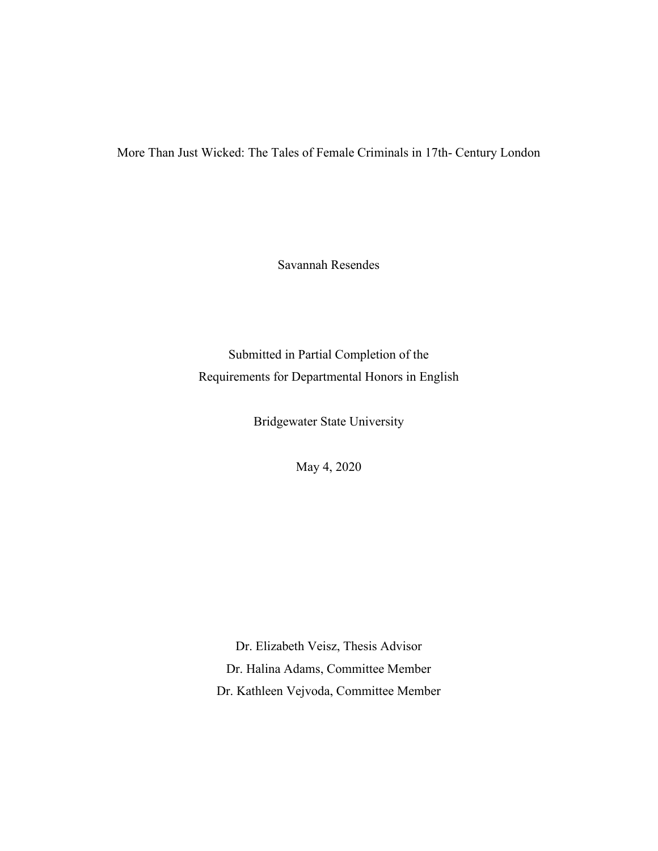More Than Just Wicked: The Tales of Female Criminals in 17th- Century London

Savannah Resendes

Submitted in Partial Completion of the Requirements for Departmental Honors in English

Bridgewater State University

May 4, 2020

Dr. Elizabeth Veisz, Thesis Advisor Dr. Halina Adams, Committee Member Dr. Kathleen Vejvoda, Committee Member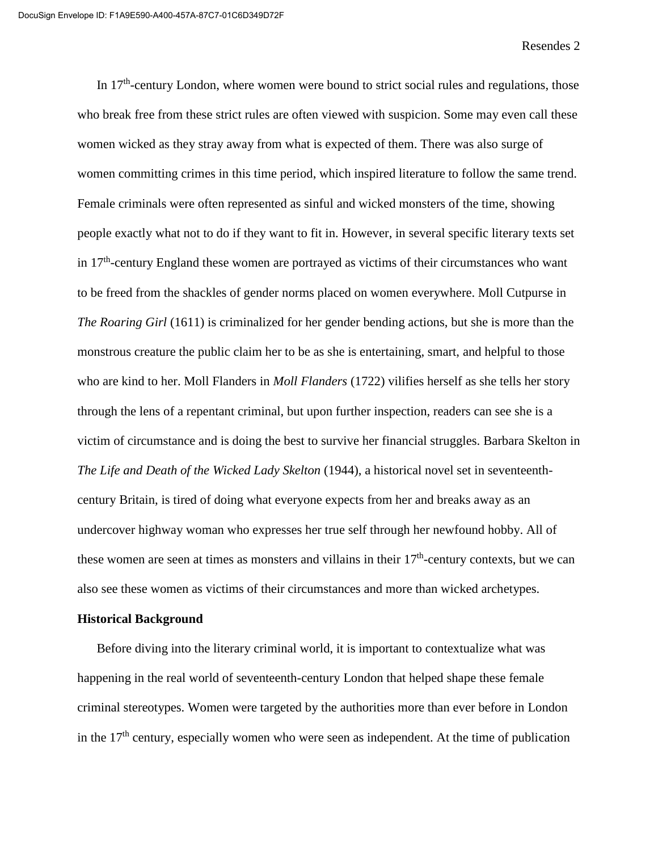In  $17<sup>th</sup>$ -century London, where women were bound to strict social rules and regulations, those who break free from these strict rules are often viewed with suspicion. Some may even call these women wicked as they stray away from what is expected of them. There was also surge of women committing crimes in this time period, which inspired literature to follow the same trend. Female criminals were often represented as sinful and wicked monsters of the time, showing people exactly what not to do if they want to fit in. However, in several specific literary texts set in  $17<sup>th</sup>$ -century England these women are portrayed as victims of their circumstances who want to be freed from the shackles of gender norms placed on women everywhere. Moll Cutpurse in *The Roaring Girl* (1611) is criminalized for her gender bending actions, but she is more than the monstrous creature the public claim her to be as she is entertaining, smart, and helpful to those who are kind to her. Moll Flanders in *Moll Flanders* (1722) vilifies herself as she tells her story through the lens of a repentant criminal, but upon further inspection, readers can see she is a victim of circumstance and is doing the best to survive her financial struggles. Barbara Skelton in *The Life and Death of the Wicked Lady Skelton* (1944), a historical novel set in seventeenthcentury Britain, is tired of doing what everyone expects from her and breaks away as an undercover highway woman who expresses her true self through her newfound hobby. All of these women are seen at times as monsters and villains in their  $17<sup>th</sup>$ -century contexts, but we can also see these women as victims of their circumstances and more than wicked archetypes.

## **Historical Background**

Before diving into the literary criminal world, it is important to contextualize what was happening in the real world of seventeenth-century London that helped shape these female criminal stereotypes. Women were targeted by the authorities more than ever before in London in the  $17<sup>th</sup>$  century, especially women who were seen as independent. At the time of publication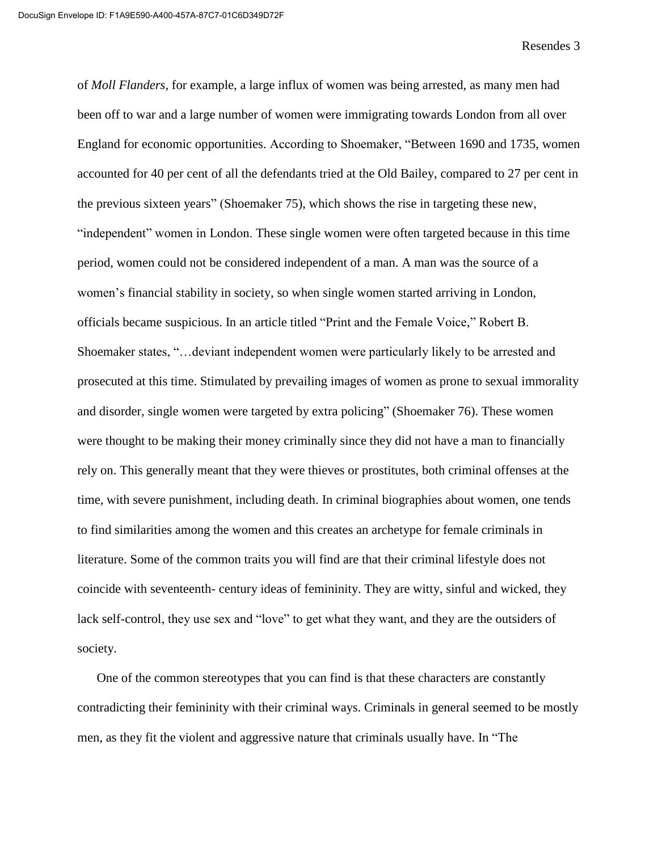of *Moll Flanders*, for example, a large influx of women was being arrested, as many men had been off to war and a large number of women were immigrating towards London from all over England for economic opportunities. According to Shoemaker, "Between 1690 and 1735, women accounted for 40 per cent of all the defendants tried at the Old Bailey, compared to 27 per cent in the previous sixteen years" (Shoemaker 75), which shows the rise in targeting these new, "independent" women in London. These single women were often targeted because in this time period, women could not be considered independent of a man. A man was the source of a women's financial stability in society, so when single women started arriving in London, officials became suspicious. In an article titled "Print and the Female Voice," Robert B. Shoemaker states, "…deviant independent women were particularly likely to be arrested and prosecuted at this time. Stimulated by prevailing images of women as prone to sexual immorality and disorder, single women were targeted by extra policing" (Shoemaker 76). These women were thought to be making their money criminally since they did not have a man to financially rely on. This generally meant that they were thieves or prostitutes, both criminal offenses at the time, with severe punishment, including death. In criminal biographies about women, one tends to find similarities among the women and this creates an archetype for female criminals in literature. Some of the common traits you will find are that their criminal lifestyle does not coincide with seventeenth- century ideas of femininity. They are witty, sinful and wicked, they lack self-control, they use sex and "love" to get what they want, and they are the outsiders of society.

One of the common stereotypes that you can find is that these characters are constantly contradicting their femininity with their criminal ways. Criminals in general seemed to be mostly men, as they fit the violent and aggressive nature that criminals usually have. In "The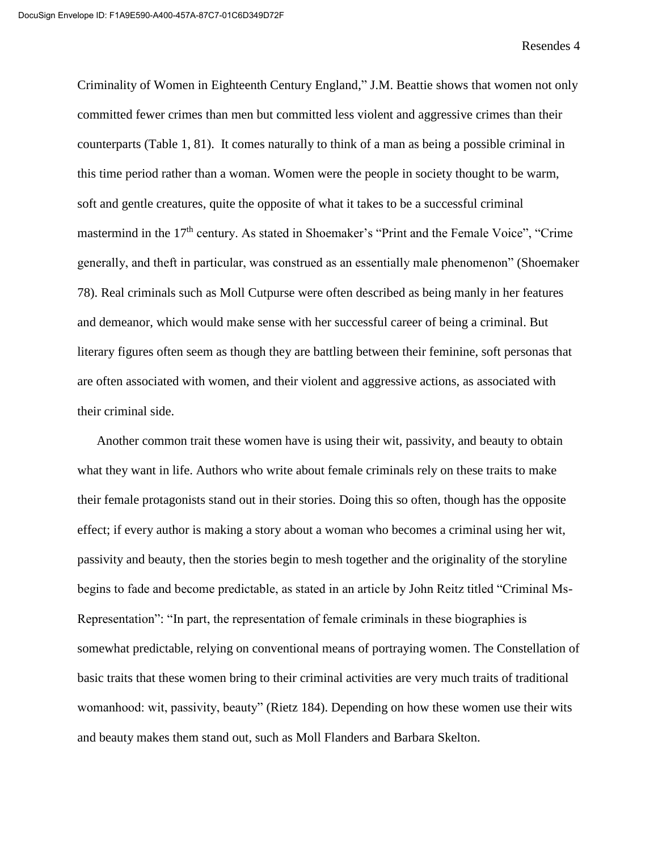Criminality of Women in Eighteenth Century England," J.M. Beattie shows that women not only committed fewer crimes than men but committed less violent and aggressive crimes than their counterparts (Table 1, 81). It comes naturally to think of a man as being a possible criminal in this time period rather than a woman. Women were the people in society thought to be warm, soft and gentle creatures, quite the opposite of what it takes to be a successful criminal mastermind in the 17<sup>th</sup> century. As stated in Shoemaker's "Print and the Female Voice", "Crime" generally, and theft in particular, was construed as an essentially male phenomenon" (Shoemaker 78). Real criminals such as Moll Cutpurse were often described as being manly in her features and demeanor, which would make sense with her successful career of being a criminal. But literary figures often seem as though they are battling between their feminine, soft personas that are often associated with women, and their violent and aggressive actions, as associated with their criminal side.

Another common trait these women have is using their wit, passivity, and beauty to obtain what they want in life. Authors who write about female criminals rely on these traits to make their female protagonists stand out in their stories. Doing this so often, though has the opposite effect; if every author is making a story about a woman who becomes a criminal using her wit, passivity and beauty, then the stories begin to mesh together and the originality of the storyline begins to fade and become predictable, as stated in an article by John Reitz titled "Criminal Ms-Representation": "In part, the representation of female criminals in these biographies is somewhat predictable, relying on conventional means of portraying women. The Constellation of basic traits that these women bring to their criminal activities are very much traits of traditional womanhood: wit, passivity, beauty" (Rietz 184). Depending on how these women use their wits and beauty makes them stand out, such as Moll Flanders and Barbara Skelton.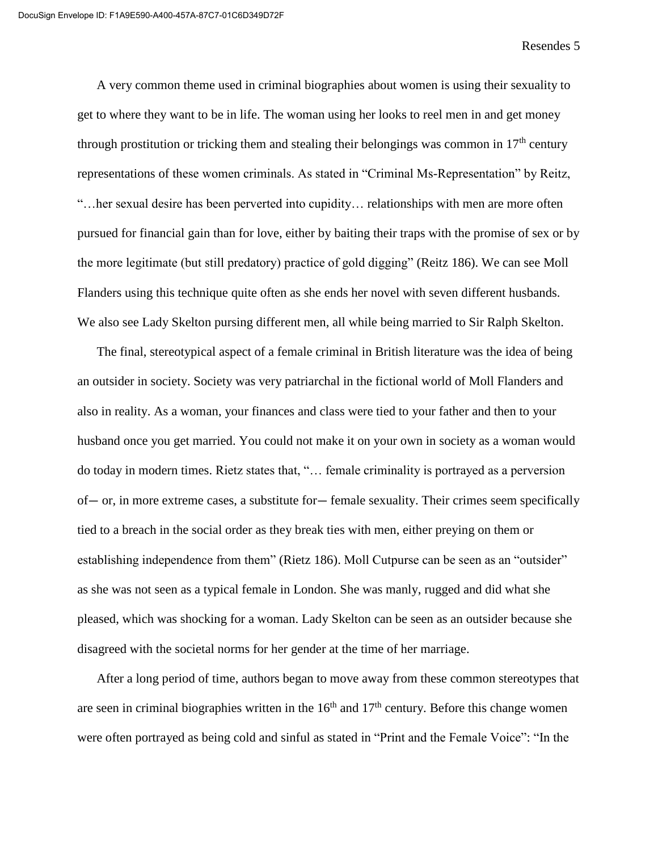A very common theme used in criminal biographies about women is using their sexuality to get to where they want to be in life. The woman using her looks to reel men in and get money through prostitution or tricking them and stealing their belongings was common in  $17<sup>th</sup>$  century representations of these women criminals. As stated in "Criminal Ms-Representation" by Reitz, "…her sexual desire has been perverted into cupidity… relationships with men are more often pursued for financial gain than for love, either by baiting their traps with the promise of sex or by the more legitimate (but still predatory) practice of gold digging" (Reitz 186). We can see Moll Flanders using this technique quite often as she ends her novel with seven different husbands. We also see Lady Skelton pursing different men, all while being married to Sir Ralph Skelton.

The final, stereotypical aspect of a female criminal in British literature was the idea of being an outsider in society. Society was very patriarchal in the fictional world of Moll Flanders and also in reality. As a woman, your finances and class were tied to your father and then to your husband once you get married. You could not make it on your own in society as a woman would do today in modern times. Rietz states that, "… female criminality is portrayed as a perversion of— or, in more extreme cases, a substitute for— female sexuality. Their crimes seem specifically tied to a breach in the social order as they break ties with men, either preying on them or establishing independence from them" (Rietz 186). Moll Cutpurse can be seen as an "outsider" as she was not seen as a typical female in London. She was manly, rugged and did what she pleased, which was shocking for a woman. Lady Skelton can be seen as an outsider because she disagreed with the societal norms for her gender at the time of her marriage.

After a long period of time, authors began to move away from these common stereotypes that are seen in criminal biographies written in the  $16<sup>th</sup>$  and  $17<sup>th</sup>$  century. Before this change women were often portrayed as being cold and sinful as stated in "Print and the Female Voice": "In the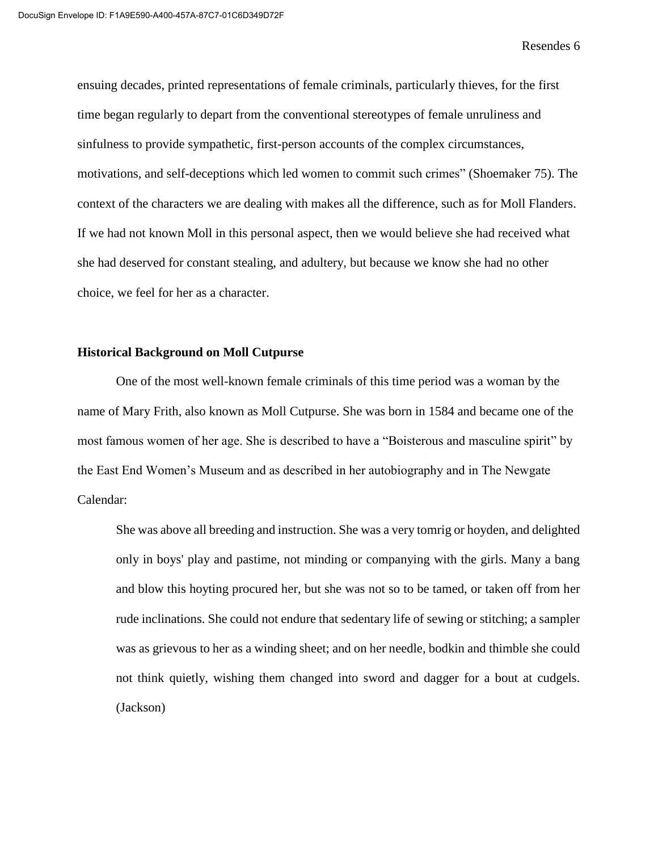ensuing decades, printed representations of female criminals, particularly thieves, for the first time began regularly to depart from the conventional stereotypes of female unruliness and sinfulness to provide sympathetic, first-person accounts of the complex circumstances, motivations, and self-deceptions which led women to commit such crimes" (Shoemaker 75). The context of the characters we are dealing with makes all the difference, such as for Moll Flanders. If we had not known Moll in this personal aspect, then we would believe she had received what she had deserved for constant stealing, and adultery, but because we know she had no other choice, we feel for her as a character.

## **Historical Background on Moll Cutpurse**

One of the most well-known female criminals of this time period was a woman by the name of Mary Frith, also known as Moll Cutpurse. She was born in 1584 and became one of the most famous women of her age. She is described to have a "Boisterous and masculine spirit" by the East End Women's Museum and as described in her autobiography and in The Newgate Calendar:

She was above all breeding and instruction. She was a very tomrig or hoyden, and delighted only in boys' play and pastime, not minding or companying with the girls. Many a bang and blow this hoyting procured her, but she was not so to be tamed, or taken off from her rude inclinations. She could not endure that sedentary life of sewing or stitching; a sampler was as grievous to her as a winding sheet; and on her needle, bodkin and thimble she could not think quietly, wishing them changed into sword and dagger for a bout at cudgels. (Jackson)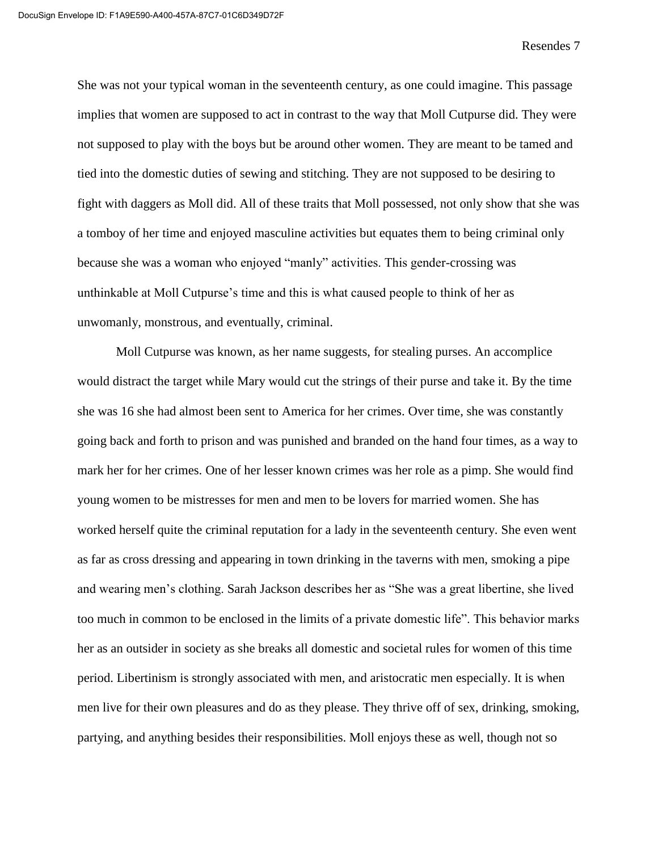She was not your typical woman in the seventeenth century, as one could imagine. This passage implies that women are supposed to act in contrast to the way that Moll Cutpurse did. They were not supposed to play with the boys but be around other women. They are meant to be tamed and tied into the domestic duties of sewing and stitching. They are not supposed to be desiring to fight with daggers as Moll did. All of these traits that Moll possessed, not only show that she was a tomboy of her time and enjoyed masculine activities but equates them to being criminal only because she was a woman who enjoyed "manly" activities. This gender-crossing was unthinkable at Moll Cutpurse's time and this is what caused people to think of her as unwomanly, monstrous, and eventually, criminal.

Moll Cutpurse was known, as her name suggests, for stealing purses. An accomplice would distract the target while Mary would cut the strings of their purse and take it. By the time she was 16 she had almost been sent to America for her crimes. Over time, she was constantly going back and forth to prison and was punished and branded on the hand four times, as a way to mark her for her crimes. One of her lesser known crimes was her role as a pimp. She would find young women to be mistresses for men and men to be lovers for married women. She has worked herself quite the criminal reputation for a lady in the seventeenth century. She even went as far as cross dressing and appearing in town drinking in the taverns with men, smoking a pipe and wearing men's clothing. Sarah Jackson describes her as "She was a great libertine, she lived too much in common to be enclosed in the limits of a private domestic life". This behavior marks her as an outsider in society as she breaks all domestic and societal rules for women of this time period. Libertinism is strongly associated with men, and aristocratic men especially. It is when men live for their own pleasures and do as they please. They thrive off of sex, drinking, smoking, partying, and anything besides their responsibilities. Moll enjoys these as well, though not so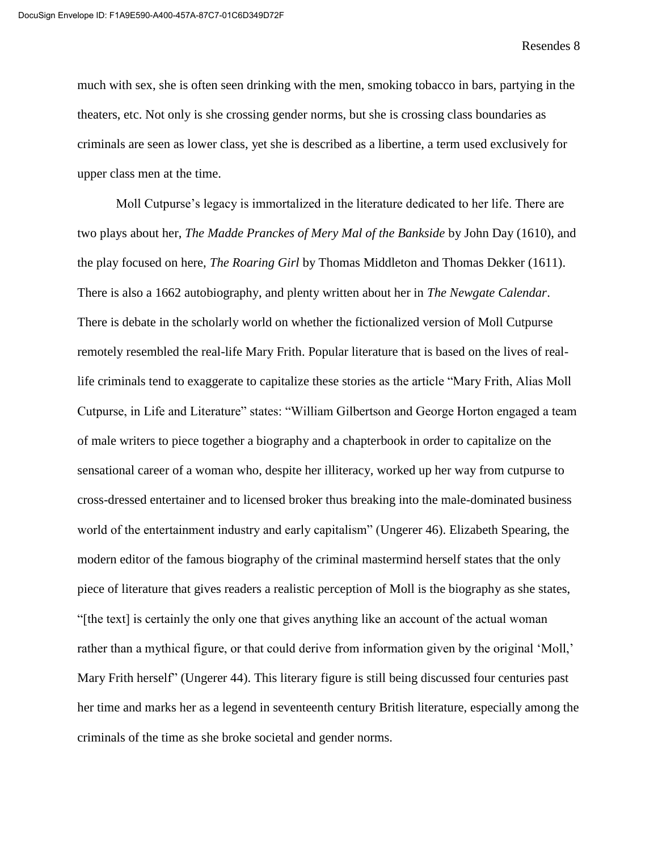much with sex, she is often seen drinking with the men, smoking tobacco in bars, partying in the theaters, etc. Not only is she crossing gender norms, but she is crossing class boundaries as criminals are seen as lower class, yet she is described as a libertine, a term used exclusively for upper class men at the time.

Moll Cutpurse's legacy is immortalized in the literature dedicated to her life. There are two plays about her, *The Madde Pranckes of Mery Mal of the Bankside* by John Day (1610), and the play focused on here, *The Roaring Girl* by Thomas Middleton and Thomas Dekker (1611). There is also a 1662 autobiography, and plenty written about her in *The Newgate Calendar*. There is debate in the scholarly world on whether the fictionalized version of Moll Cutpurse remotely resembled the real-life Mary Frith. Popular literature that is based on the lives of reallife criminals tend to exaggerate to capitalize these stories as the article "Mary Frith, Alias Moll Cutpurse, in Life and Literature" states: "William Gilbertson and George Horton engaged a team of male writers to piece together a biography and a chapterbook in order to capitalize on the sensational career of a woman who, despite her illiteracy, worked up her way from cutpurse to cross-dressed entertainer and to licensed broker thus breaking into the male-dominated business world of the entertainment industry and early capitalism" (Ungerer 46). Elizabeth Spearing, the modern editor of the famous biography of the criminal mastermind herself states that the only piece of literature that gives readers a realistic perception of Moll is the biography as she states, "[the text] is certainly the only one that gives anything like an account of the actual woman rather than a mythical figure, or that could derive from information given by the original 'Moll,' Mary Frith herself" (Ungerer 44). This literary figure is still being discussed four centuries past her time and marks her as a legend in seventeenth century British literature, especially among the criminals of the time as she broke societal and gender norms.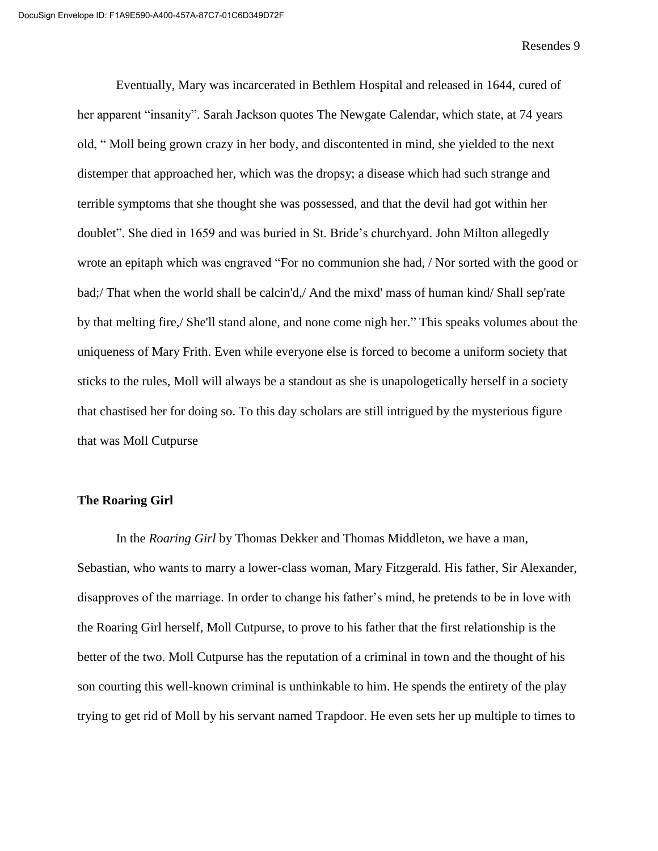Eventually, Mary was incarcerated in Bethlem Hospital and released in 1644, cured of her apparent "insanity". Sarah Jackson quotes The Newgate Calendar, which state, at 74 years old, " Moll being grown crazy in her body, and discontented in mind, she yielded to the next distemper that approached her, which was the dropsy; a disease which had such strange and terrible symptoms that she thought she was possessed, and that the devil had got within her doublet". She died in 1659 and was buried in St. Bride's churchyard. John Milton allegedly wrote an epitaph which was engraved "For no communion she had, / Nor sorted with the good or bad;/ That when the world shall be calcin'd,/ And the mixd' mass of human kind/ Shall sep'rate by that melting fire,/ She'll stand alone, and none come nigh her." This speaks volumes about the uniqueness of Mary Frith. Even while everyone else is forced to become a uniform society that sticks to the rules, Moll will always be a standout as she is unapologetically herself in a society that chastised her for doing so. To this day scholars are still intrigued by the mysterious figure that was Moll Cutpurse

## **The Roaring Girl**

In the *Roaring Girl* by Thomas Dekker and Thomas Middleton, we have a man, Sebastian, who wants to marry a lower-class woman, Mary Fitzgerald. His father, Sir Alexander, disapproves of the marriage. In order to change his father's mind, he pretends to be in love with the Roaring Girl herself, Moll Cutpurse, to prove to his father that the first relationship is the better of the two. Moll Cutpurse has the reputation of a criminal in town and the thought of his son courting this well-known criminal is unthinkable to him. He spends the entirety of the play trying to get rid of Moll by his servant named Trapdoor. He even sets her up multiple to times to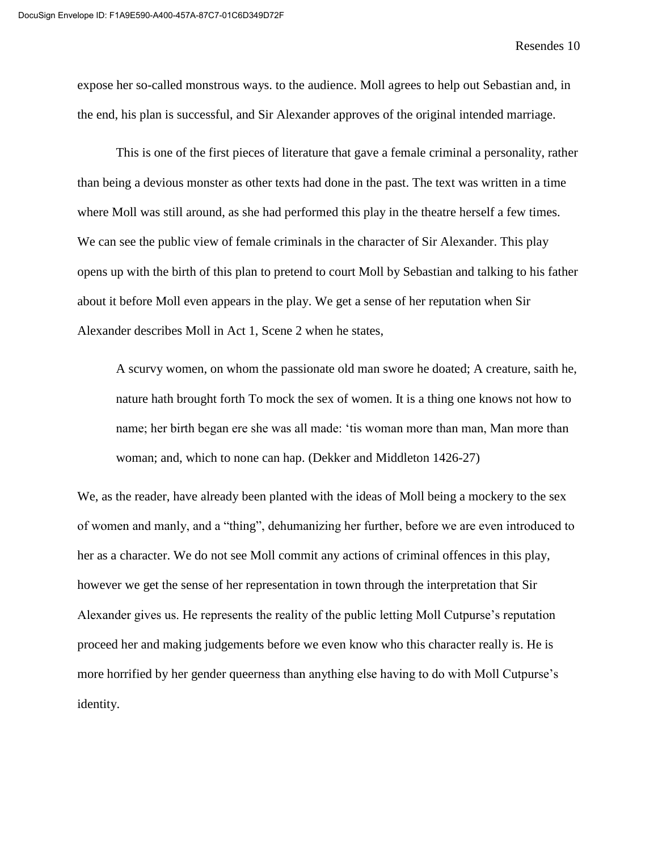expose her so-called monstrous ways. to the audience. Moll agrees to help out Sebastian and, in the end, his plan is successful, and Sir Alexander approves of the original intended marriage.

This is one of the first pieces of literature that gave a female criminal a personality, rather than being a devious monster as other texts had done in the past. The text was written in a time where Moll was still around, as she had performed this play in the theatre herself a few times. We can see the public view of female criminals in the character of Sir Alexander. This play opens up with the birth of this plan to pretend to court Moll by Sebastian and talking to his father about it before Moll even appears in the play. We get a sense of her reputation when Sir Alexander describes Moll in Act 1, Scene 2 when he states,

A scurvy women, on whom the passionate old man swore he doated; A creature, saith he, nature hath brought forth To mock the sex of women. It is a thing one knows not how to name; her birth began ere she was all made: 'tis woman more than man, Man more than woman; and, which to none can hap. (Dekker and Middleton 1426-27)

We, as the reader, have already been planted with the ideas of Moll being a mockery to the sex of women and manly, and a "thing", dehumanizing her further, before we are even introduced to her as a character. We do not see Moll commit any actions of criminal offences in this play, however we get the sense of her representation in town through the interpretation that Sir Alexander gives us. He represents the reality of the public letting Moll Cutpurse's reputation proceed her and making judgements before we even know who this character really is. He is more horrified by her gender queerness than anything else having to do with Moll Cutpurse's identity.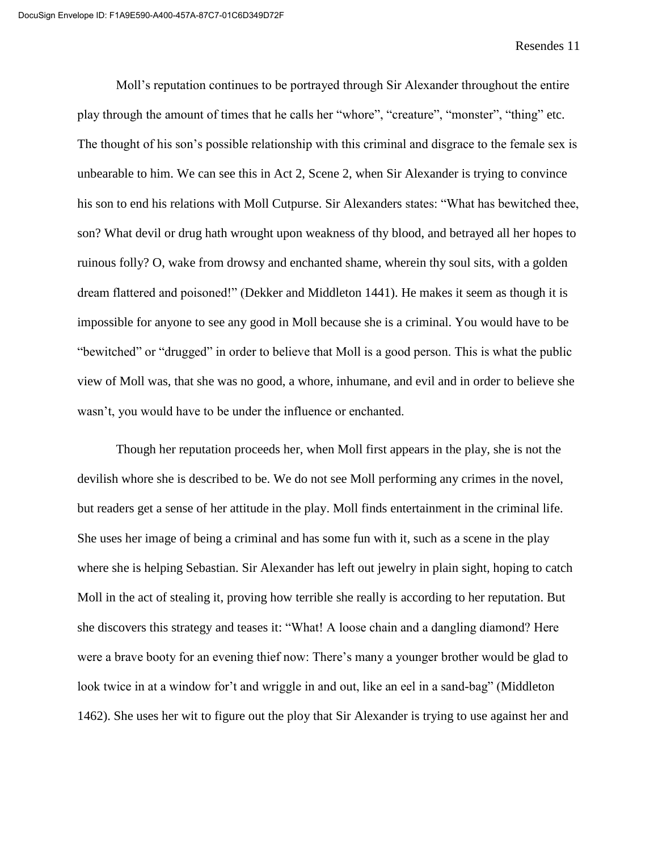Moll's reputation continues to be portrayed through Sir Alexander throughout the entire play through the amount of times that he calls her "whore", "creature", "monster", "thing" etc. The thought of his son's possible relationship with this criminal and disgrace to the female sex is unbearable to him. We can see this in Act 2, Scene 2, when Sir Alexander is trying to convince his son to end his relations with Moll Cutpurse. Sir Alexanders states: "What has bewitched thee, son? What devil or drug hath wrought upon weakness of thy blood, and betrayed all her hopes to ruinous folly? O, wake from drowsy and enchanted shame, wherein thy soul sits, with a golden dream flattered and poisoned!" (Dekker and Middleton 1441). He makes it seem as though it is impossible for anyone to see any good in Moll because she is a criminal. You would have to be "bewitched" or "drugged" in order to believe that Moll is a good person. This is what the public view of Moll was, that she was no good, a whore, inhumane, and evil and in order to believe she wasn't, you would have to be under the influence or enchanted.

Though her reputation proceeds her, when Moll first appears in the play, she is not the devilish whore she is described to be. We do not see Moll performing any crimes in the novel, but readers get a sense of her attitude in the play. Moll finds entertainment in the criminal life. She uses her image of being a criminal and has some fun with it, such as a scene in the play where she is helping Sebastian. Sir Alexander has left out jewelry in plain sight, hoping to catch Moll in the act of stealing it, proving how terrible she really is according to her reputation. But she discovers this strategy and teases it: "What! A loose chain and a dangling diamond? Here were a brave booty for an evening thief now: There's many a younger brother would be glad to look twice in at a window for't and wriggle in and out, like an eel in a sand-bag" (Middleton 1462). She uses her wit to figure out the ploy that Sir Alexander is trying to use against her and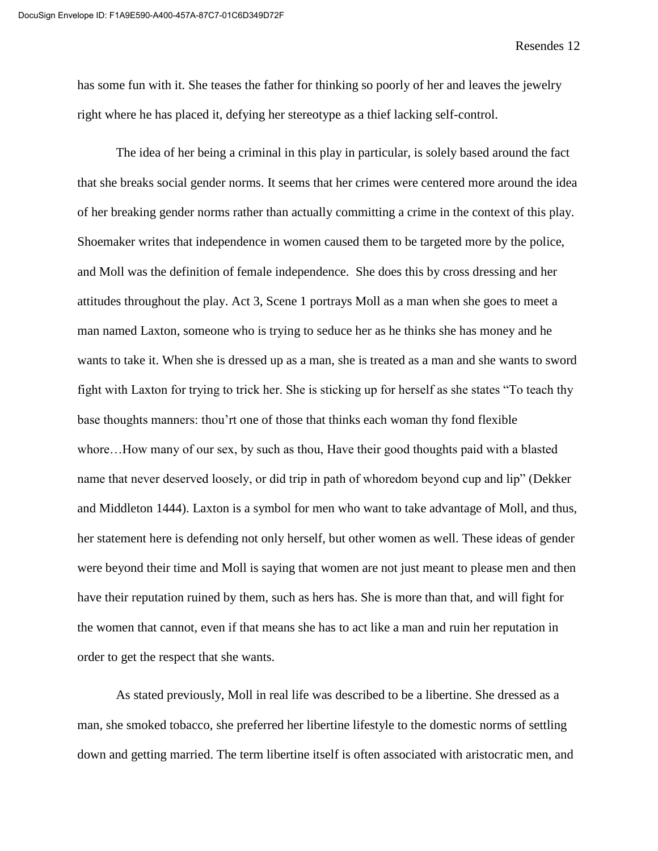has some fun with it. She teases the father for thinking so poorly of her and leaves the jewelry right where he has placed it, defying her stereotype as a thief lacking self-control.

The idea of her being a criminal in this play in particular, is solely based around the fact that she breaks social gender norms. It seems that her crimes were centered more around the idea of her breaking gender norms rather than actually committing a crime in the context of this play. Shoemaker writes that independence in women caused them to be targeted more by the police, and Moll was the definition of female independence. She does this by cross dressing and her attitudes throughout the play. Act 3, Scene 1 portrays Moll as a man when she goes to meet a man named Laxton, someone who is trying to seduce her as he thinks she has money and he wants to take it. When she is dressed up as a man, she is treated as a man and she wants to sword fight with Laxton for trying to trick her. She is sticking up for herself as she states "To teach thy base thoughts manners: thou'rt one of those that thinks each woman thy fond flexible whore…How many of our sex, by such as thou, Have their good thoughts paid with a blasted name that never deserved loosely, or did trip in path of whoredom beyond cup and lip" (Dekker and Middleton 1444). Laxton is a symbol for men who want to take advantage of Moll, and thus, her statement here is defending not only herself, but other women as well. These ideas of gender were beyond their time and Moll is saying that women are not just meant to please men and then have their reputation ruined by them, such as hers has. She is more than that, and will fight for the women that cannot, even if that means she has to act like a man and ruin her reputation in order to get the respect that she wants.

As stated previously, Moll in real life was described to be a libertine. She dressed as a man, she smoked tobacco, she preferred her libertine lifestyle to the domestic norms of settling down and getting married. The term libertine itself is often associated with aristocratic men, and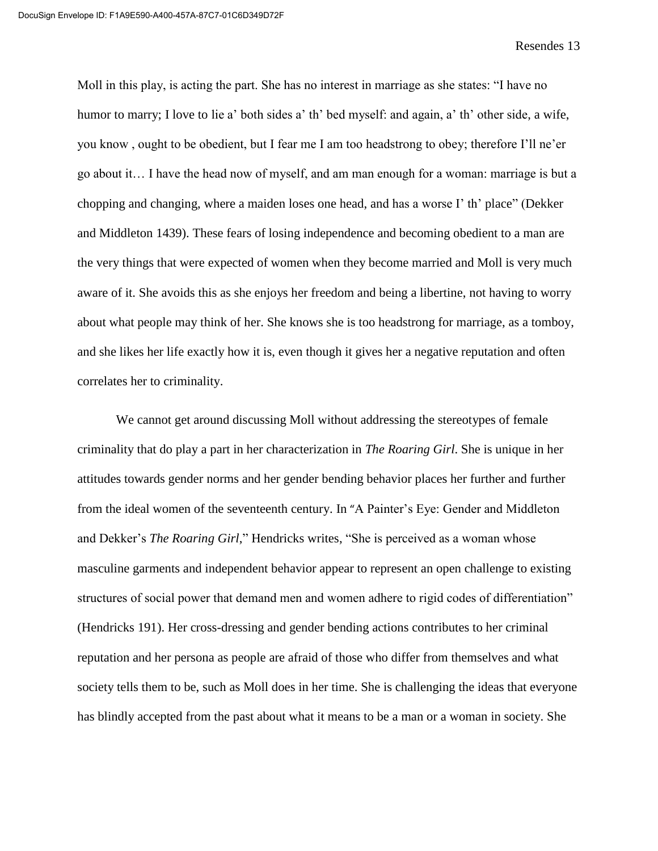Moll in this play, is acting the part. She has no interest in marriage as she states: "I have no humor to marry; I love to lie a' both sides a' th' bed myself: and again, a' th' other side, a wife, you know , ought to be obedient, but I fear me I am too headstrong to obey; therefore I'll ne'er go about it… I have the head now of myself, and am man enough for a woman: marriage is but a chopping and changing, where a maiden loses one head, and has a worse I' th' place" (Dekker and Middleton 1439). These fears of losing independence and becoming obedient to a man are the very things that were expected of women when they become married and Moll is very much aware of it. She avoids this as she enjoys her freedom and being a libertine, not having to worry about what people may think of her. She knows she is too headstrong for marriage, as a tomboy, and she likes her life exactly how it is, even though it gives her a negative reputation and often correlates her to criminality.

We cannot get around discussing Moll without addressing the stereotypes of female criminality that do play a part in her characterization in *The Roaring Girl*. She is unique in her attitudes towards gender norms and her gender bending behavior places her further and further from the ideal women of the seventeenth century. In "A Painter's Eye: Gender and Middleton and Dekker's *The Roaring Girl*," Hendricks writes, "She is perceived as a woman whose masculine garments and independent behavior appear to represent an open challenge to existing structures of social power that demand men and women adhere to rigid codes of differentiation" (Hendricks 191). Her cross-dressing and gender bending actions contributes to her criminal reputation and her persona as people are afraid of those who differ from themselves and what society tells them to be, such as Moll does in her time. She is challenging the ideas that everyone has blindly accepted from the past about what it means to be a man or a woman in society. She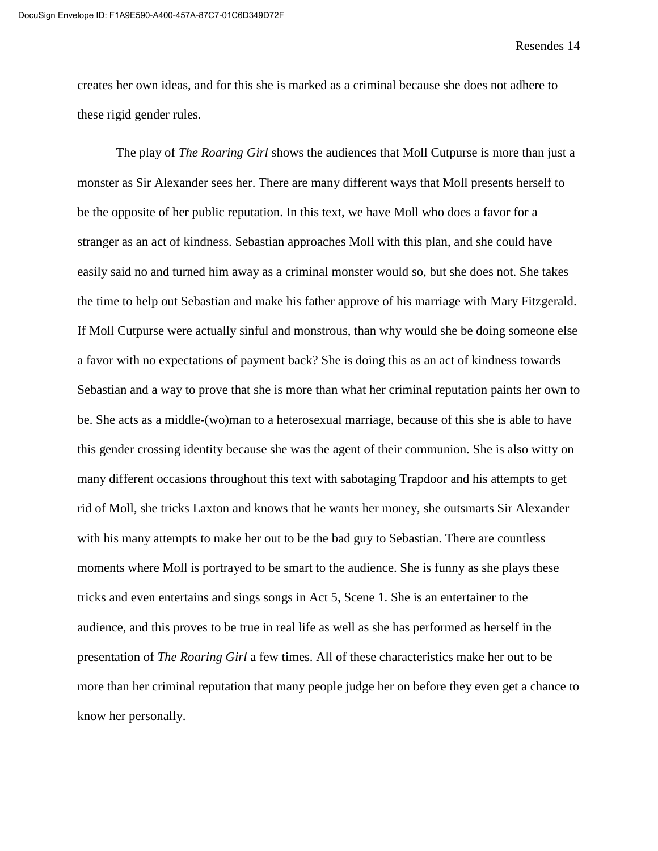creates her own ideas, and for this she is marked as a criminal because she does not adhere to these rigid gender rules.

The play of *The Roaring Girl* shows the audiences that Moll Cutpurse is more than just a monster as Sir Alexander sees her. There are many different ways that Moll presents herself to be the opposite of her public reputation. In this text, we have Moll who does a favor for a stranger as an act of kindness. Sebastian approaches Moll with this plan, and she could have easily said no and turned him away as a criminal monster would so, but she does not. She takes the time to help out Sebastian and make his father approve of his marriage with Mary Fitzgerald. If Moll Cutpurse were actually sinful and monstrous, than why would she be doing someone else a favor with no expectations of payment back? She is doing this as an act of kindness towards Sebastian and a way to prove that she is more than what her criminal reputation paints her own to be. She acts as a middle-(wo)man to a heterosexual marriage, because of this she is able to have this gender crossing identity because she was the agent of their communion. She is also witty on many different occasions throughout this text with sabotaging Trapdoor and his attempts to get rid of Moll, she tricks Laxton and knows that he wants her money, she outsmarts Sir Alexander with his many attempts to make her out to be the bad guy to Sebastian. There are countless moments where Moll is portrayed to be smart to the audience. She is funny as she plays these tricks and even entertains and sings songs in Act 5, Scene 1. She is an entertainer to the audience, and this proves to be true in real life as well as she has performed as herself in the presentation of *The Roaring Girl* a few times. All of these characteristics make her out to be more than her criminal reputation that many people judge her on before they even get a chance to know her personally.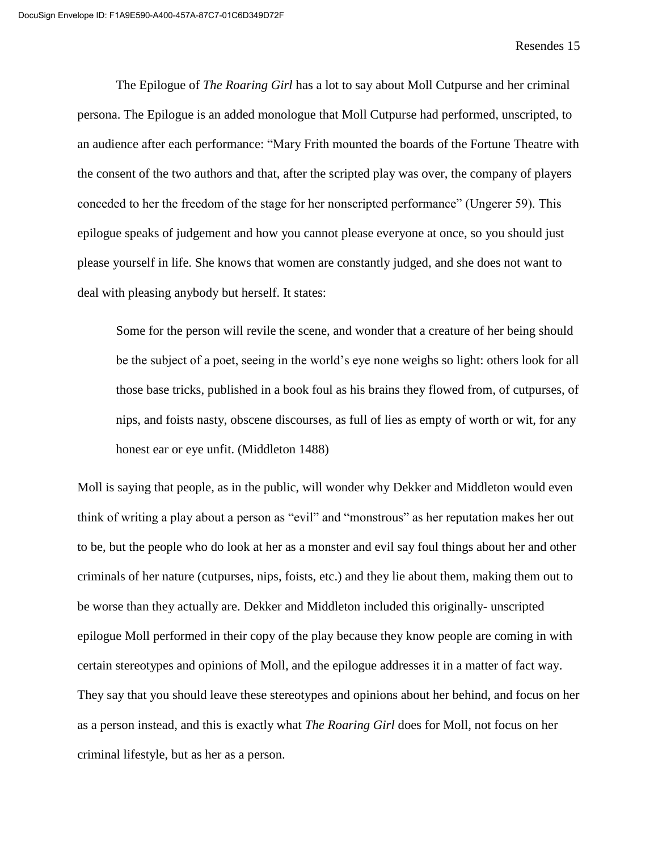The Epilogue of *The Roaring Girl* has a lot to say about Moll Cutpurse and her criminal persona. The Epilogue is an added monologue that Moll Cutpurse had performed, unscripted, to an audience after each performance: "Mary Frith mounted the boards of the Fortune Theatre with the consent of the two authors and that, after the scripted play was over, the company of players conceded to her the freedom of the stage for her nonscripted performance" (Ungerer 59). This epilogue speaks of judgement and how you cannot please everyone at once, so you should just please yourself in life. She knows that women are constantly judged, and she does not want to deal with pleasing anybody but herself. It states:

Some for the person will revile the scene, and wonder that a creature of her being should be the subject of a poet, seeing in the world's eye none weighs so light: others look for all those base tricks, published in a book foul as his brains they flowed from, of cutpurses, of nips, and foists nasty, obscene discourses, as full of lies as empty of worth or wit, for any honest ear or eye unfit. (Middleton 1488)

Moll is saying that people, as in the public, will wonder why Dekker and Middleton would even think of writing a play about a person as "evil" and "monstrous" as her reputation makes her out to be, but the people who do look at her as a monster and evil say foul things about her and other criminals of her nature (cutpurses, nips, foists, etc.) and they lie about them, making them out to be worse than they actually are. Dekker and Middleton included this originally- unscripted epilogue Moll performed in their copy of the play because they know people are coming in with certain stereotypes and opinions of Moll, and the epilogue addresses it in a matter of fact way. They say that you should leave these stereotypes and opinions about her behind, and focus on her as a person instead, and this is exactly what *The Roaring Girl* does for Moll, not focus on her criminal lifestyle, but as her as a person.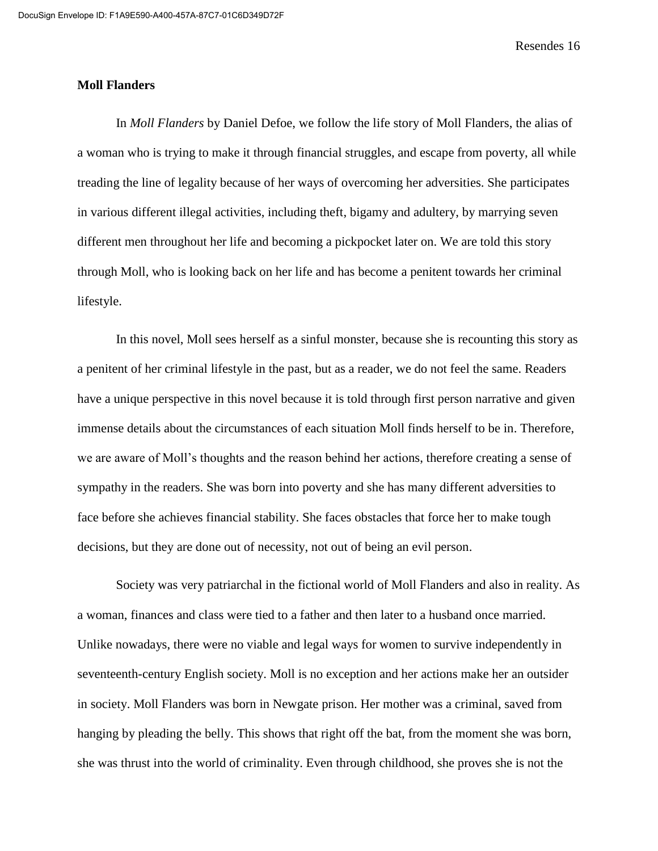## **Moll Flanders**

In *Moll Flanders* by Daniel Defoe, we follow the life story of Moll Flanders, the alias of a woman who is trying to make it through financial struggles, and escape from poverty, all while treading the line of legality because of her ways of overcoming her adversities. She participates in various different illegal activities, including theft, bigamy and adultery, by marrying seven different men throughout her life and becoming a pickpocket later on. We are told this story through Moll, who is looking back on her life and has become a penitent towards her criminal lifestyle.

In this novel, Moll sees herself as a sinful monster, because she is recounting this story as a penitent of her criminal lifestyle in the past, but as a reader, we do not feel the same. Readers have a unique perspective in this novel because it is told through first person narrative and given immense details about the circumstances of each situation Moll finds herself to be in. Therefore, we are aware of Moll's thoughts and the reason behind her actions, therefore creating a sense of sympathy in the readers. She was born into poverty and she has many different adversities to face before she achieves financial stability. She faces obstacles that force her to make tough decisions, but they are done out of necessity, not out of being an evil person.

Society was very patriarchal in the fictional world of Moll Flanders and also in reality. As a woman, finances and class were tied to a father and then later to a husband once married. Unlike nowadays, there were no viable and legal ways for women to survive independently in seventeenth-century English society. Moll is no exception and her actions make her an outsider in society. Moll Flanders was born in Newgate prison. Her mother was a criminal, saved from hanging by pleading the belly. This shows that right off the bat, from the moment she was born, she was thrust into the world of criminality. Even through childhood, she proves she is not the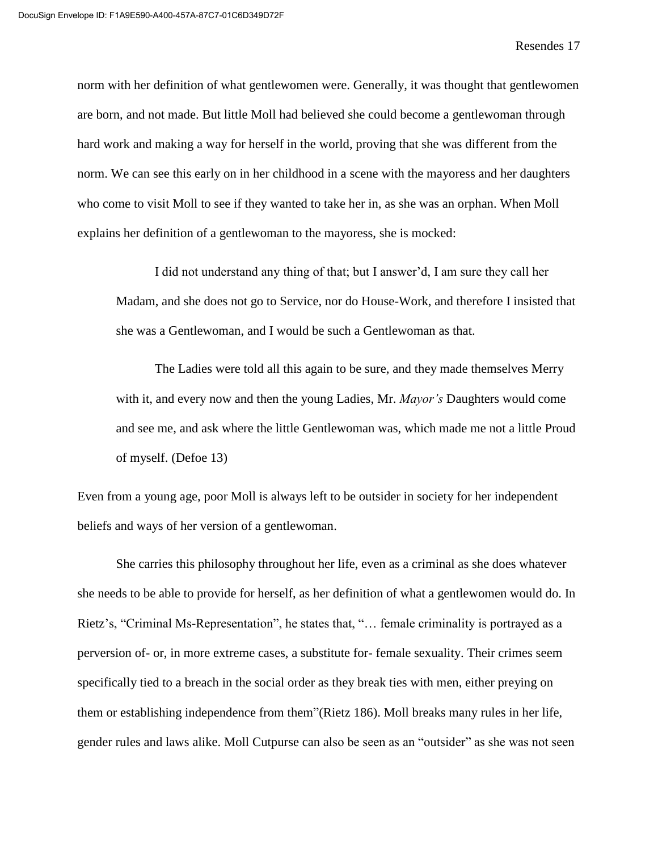norm with her definition of what gentlewomen were. Generally, it was thought that gentlewomen are born, and not made. But little Moll had believed she could become a gentlewoman through hard work and making a way for herself in the world, proving that she was different from the norm. We can see this early on in her childhood in a scene with the mayoress and her daughters who come to visit Moll to see if they wanted to take her in, as she was an orphan. When Moll explains her definition of a gentlewoman to the mayoress, she is mocked:

I did not understand any thing of that; but I answer'd, I am sure they call her Madam, and she does not go to Service, nor do House-Work, and therefore I insisted that she was a Gentlewoman, and I would be such a Gentlewoman as that.

The Ladies were told all this again to be sure, and they made themselves Merry with it, and every now and then the young Ladies, Mr. *Mayor's* Daughters would come and see me, and ask where the little Gentlewoman was, which made me not a little Proud of myself. (Defoe 13)

Even from a young age, poor Moll is always left to be outsider in society for her independent beliefs and ways of her version of a gentlewoman.

She carries this philosophy throughout her life, even as a criminal as she does whatever she needs to be able to provide for herself, as her definition of what a gentlewomen would do. In Rietz's, "Criminal Ms-Representation", he states that, "… female criminality is portrayed as a perversion of- or, in more extreme cases, a substitute for- female sexuality. Their crimes seem specifically tied to a breach in the social order as they break ties with men, either preying on them or establishing independence from them"(Rietz 186). Moll breaks many rules in her life, gender rules and laws alike. Moll Cutpurse can also be seen as an "outsider" as she was not seen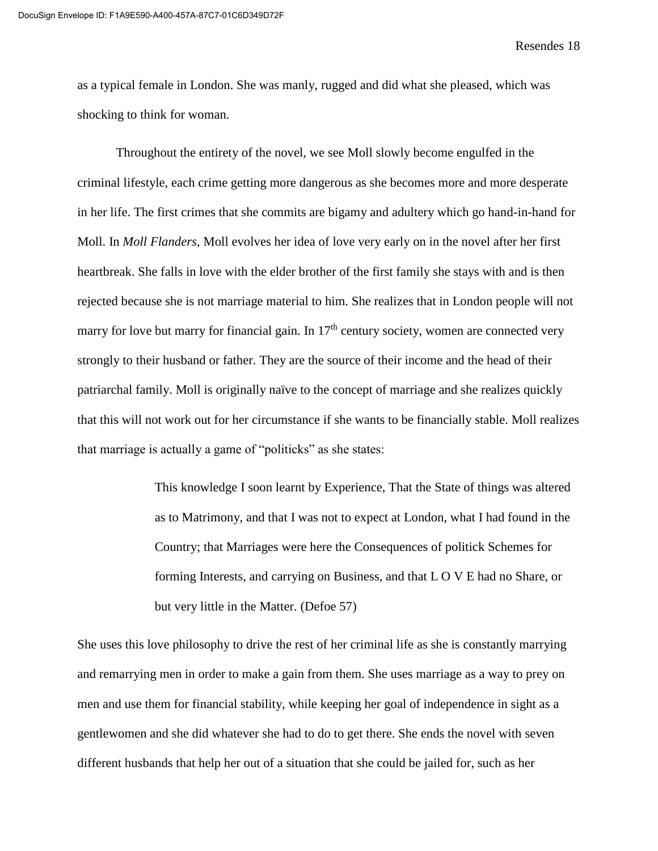as a typical female in London. She was manly, rugged and did what she pleased, which was shocking to think for woman.

Throughout the entirety of the novel, we see Moll slowly become engulfed in the criminal lifestyle, each crime getting more dangerous as she becomes more and more desperate in her life. The first crimes that she commits are bigamy and adultery which go hand-in-hand for Moll. In *Moll Flanders*, Moll evolves her idea of love very early on in the novel after her first heartbreak. She falls in love with the elder brother of the first family she stays with and is then rejected because she is not marriage material to him. She realizes that in London people will not marry for love but marry for financial gain. In  $17<sup>th</sup>$  century society, women are connected very strongly to their husband or father. They are the source of their income and the head of their patriarchal family. Moll is originally naïve to the concept of marriage and she realizes quickly that this will not work out for her circumstance if she wants to be financially stable. Moll realizes that marriage is actually a game of "politicks" as she states:

> This knowledge I soon learnt by Experience, That the State of things was altered as to Matrimony, and that I was not to expect at London, what I had found in the Country; that Marriages were here the Consequences of politick Schemes for forming Interests, and carrying on Business, and that L O V E had no Share, or but very little in the Matter. (Defoe 57)

She uses this love philosophy to drive the rest of her criminal life as she is constantly marrying and remarrying men in order to make a gain from them. She uses marriage as a way to prey on men and use them for financial stability, while keeping her goal of independence in sight as a gentlewomen and she did whatever she had to do to get there. She ends the novel with seven different husbands that help her out of a situation that she could be jailed for, such as her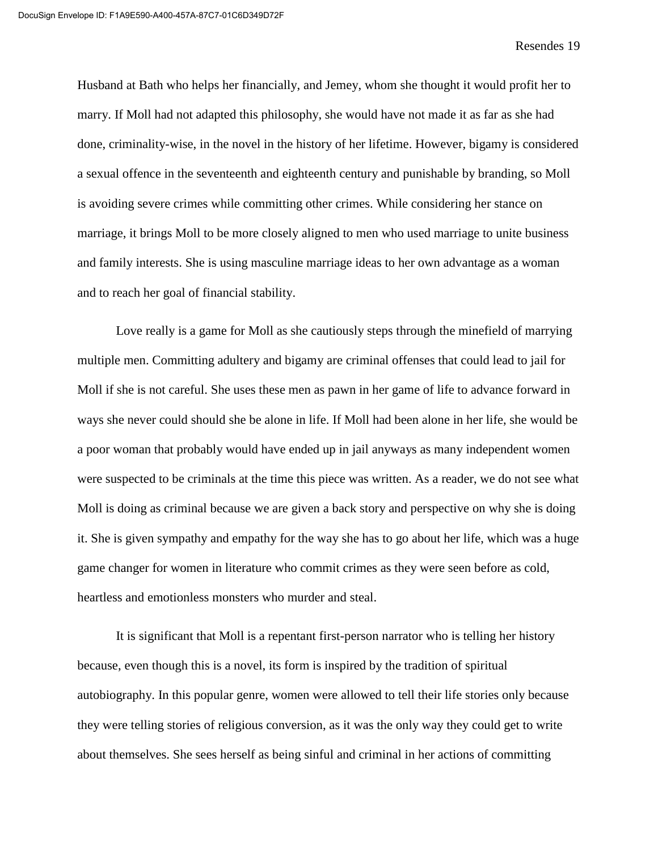Husband at Bath who helps her financially, and Jemey, whom she thought it would profit her to marry. If Moll had not adapted this philosophy, she would have not made it as far as she had done, criminality-wise, in the novel in the history of her lifetime. However, bigamy is considered a sexual offence in the seventeenth and eighteenth century and punishable by branding, so Moll is avoiding severe crimes while committing other crimes. While considering her stance on marriage, it brings Moll to be more closely aligned to men who used marriage to unite business and family interests. She is using masculine marriage ideas to her own advantage as a woman and to reach her goal of financial stability.

Love really is a game for Moll as she cautiously steps through the minefield of marrying multiple men. Committing adultery and bigamy are criminal offenses that could lead to jail for Moll if she is not careful. She uses these men as pawn in her game of life to advance forward in ways she never could should she be alone in life. If Moll had been alone in her life, she would be a poor woman that probably would have ended up in jail anyways as many independent women were suspected to be criminals at the time this piece was written. As a reader, we do not see what Moll is doing as criminal because we are given a back story and perspective on why she is doing it. She is given sympathy and empathy for the way she has to go about her life, which was a huge game changer for women in literature who commit crimes as they were seen before as cold, heartless and emotionless monsters who murder and steal.

It is significant that Moll is a repentant first-person narrator who is telling her history because, even though this is a novel, its form is inspired by the tradition of spiritual autobiography. In this popular genre, women were allowed to tell their life stories only because they were telling stories of religious conversion, as it was the only way they could get to write about themselves. She sees herself as being sinful and criminal in her actions of committing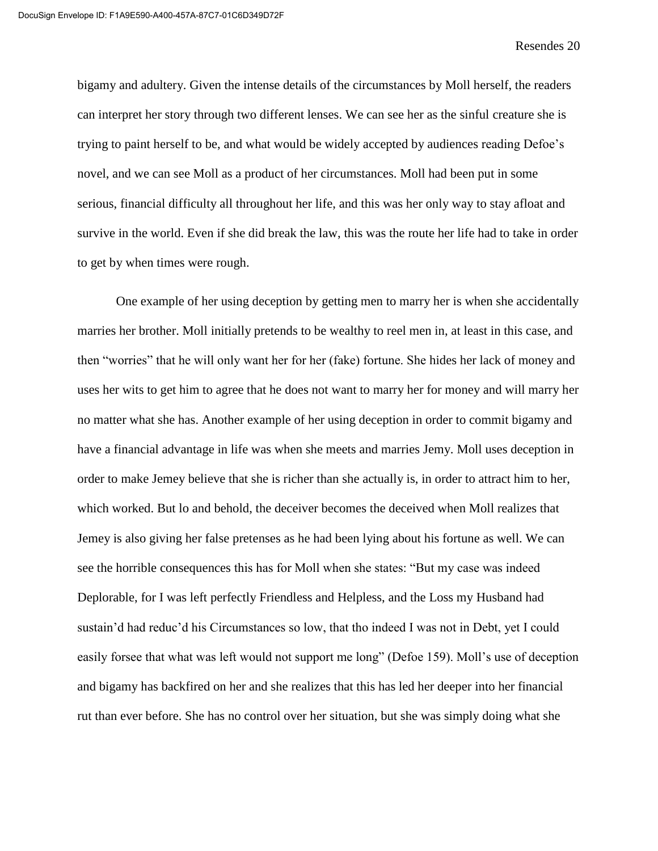bigamy and adultery. Given the intense details of the circumstances by Moll herself, the readers can interpret her story through two different lenses. We can see her as the sinful creature she is trying to paint herself to be, and what would be widely accepted by audiences reading Defoe's novel, and we can see Moll as a product of her circumstances. Moll had been put in some serious, financial difficulty all throughout her life, and this was her only way to stay afloat and survive in the world. Even if she did break the law, this was the route her life had to take in order to get by when times were rough.

One example of her using deception by getting men to marry her is when she accidentally marries her brother. Moll initially pretends to be wealthy to reel men in, at least in this case, and then "worries" that he will only want her for her (fake) fortune. She hides her lack of money and uses her wits to get him to agree that he does not want to marry her for money and will marry her no matter what she has. Another example of her using deception in order to commit bigamy and have a financial advantage in life was when she meets and marries Jemy. Moll uses deception in order to make Jemey believe that she is richer than she actually is, in order to attract him to her, which worked. But lo and behold, the deceiver becomes the deceived when Moll realizes that Jemey is also giving her false pretenses as he had been lying about his fortune as well. We can see the horrible consequences this has for Moll when she states: "But my case was indeed Deplorable, for I was left perfectly Friendless and Helpless, and the Loss my Husband had sustain'd had reduc'd his Circumstances so low, that tho indeed I was not in Debt, yet I could easily forsee that what was left would not support me long" (Defoe 159). Moll's use of deception and bigamy has backfired on her and she realizes that this has led her deeper into her financial rut than ever before. She has no control over her situation, but she was simply doing what she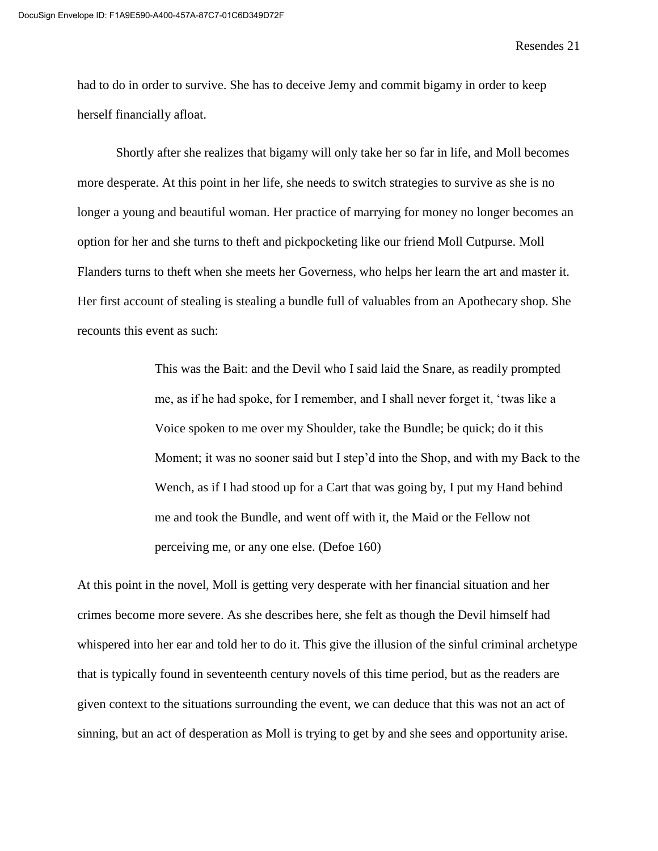had to do in order to survive. She has to deceive Jemy and commit bigamy in order to keep herself financially afloat.

Shortly after she realizes that bigamy will only take her so far in life, and Moll becomes more desperate. At this point in her life, she needs to switch strategies to survive as she is no longer a young and beautiful woman. Her practice of marrying for money no longer becomes an option for her and she turns to theft and pickpocketing like our friend Moll Cutpurse. Moll Flanders turns to theft when she meets her Governess, who helps her learn the art and master it. Her first account of stealing is stealing a bundle full of valuables from an Apothecary shop. She recounts this event as such:

> This was the Bait: and the Devil who I said laid the Snare, as readily prompted me, as if he had spoke, for I remember, and I shall never forget it, 'twas like a Voice spoken to me over my Shoulder, take the Bundle; be quick; do it this Moment; it was no sooner said but I step'd into the Shop, and with my Back to the Wench, as if I had stood up for a Cart that was going by, I put my Hand behind me and took the Bundle, and went off with it, the Maid or the Fellow not perceiving me, or any one else. (Defoe 160)

At this point in the novel, Moll is getting very desperate with her financial situation and her crimes become more severe. As she describes here, she felt as though the Devil himself had whispered into her ear and told her to do it. This give the illusion of the sinful criminal archetype that is typically found in seventeenth century novels of this time period, but as the readers are given context to the situations surrounding the event, we can deduce that this was not an act of sinning, but an act of desperation as Moll is trying to get by and she sees and opportunity arise.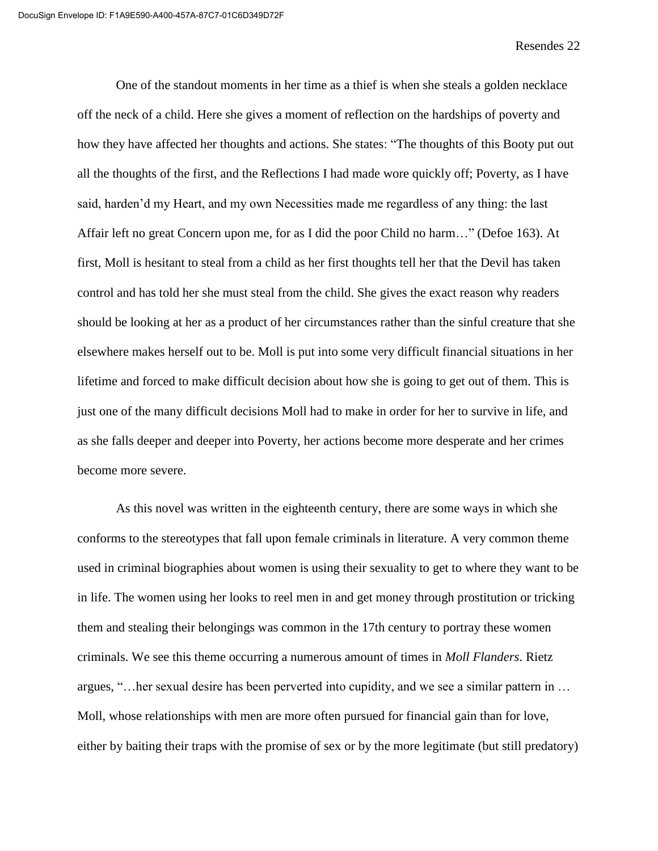One of the standout moments in her time as a thief is when she steals a golden necklace off the neck of a child. Here she gives a moment of reflection on the hardships of poverty and how they have affected her thoughts and actions. She states: "The thoughts of this Booty put out all the thoughts of the first, and the Reflections I had made wore quickly off; Poverty, as I have said, harden'd my Heart, and my own Necessities made me regardless of any thing: the last Affair left no great Concern upon me, for as I did the poor Child no harm…" (Defoe 163). At first, Moll is hesitant to steal from a child as her first thoughts tell her that the Devil has taken control and has told her she must steal from the child. She gives the exact reason why readers should be looking at her as a product of her circumstances rather than the sinful creature that she elsewhere makes herself out to be. Moll is put into some very difficult financial situations in her lifetime and forced to make difficult decision about how she is going to get out of them. This is just one of the many difficult decisions Moll had to make in order for her to survive in life, and as she falls deeper and deeper into Poverty, her actions become more desperate and her crimes become more severe.

As this novel was written in the eighteenth century, there are some ways in which she conforms to the stereotypes that fall upon female criminals in literature. A very common theme used in criminal biographies about women is using their sexuality to get to where they want to be in life. The women using her looks to reel men in and get money through prostitution or tricking them and stealing their belongings was common in the 17th century to portray these women criminals. We see this theme occurring a numerous amount of times in *Moll Flanders*. Rietz argues, "…her sexual desire has been perverted into cupidity, and we see a similar pattern in … Moll, whose relationships with men are more often pursued for financial gain than for love, either by baiting their traps with the promise of sex or by the more legitimate (but still predatory)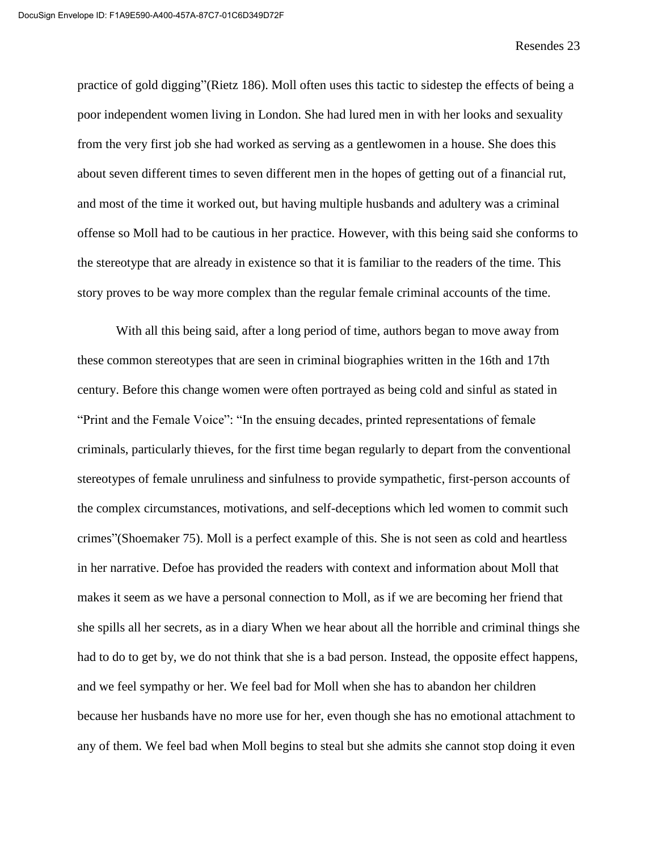practice of gold digging"(Rietz 186). Moll often uses this tactic to sidestep the effects of being a poor independent women living in London. She had lured men in with her looks and sexuality from the very first job she had worked as serving as a gentlewomen in a house. She does this about seven different times to seven different men in the hopes of getting out of a financial rut, and most of the time it worked out, but having multiple husbands and adultery was a criminal offense so Moll had to be cautious in her practice. However, with this being said she conforms to the stereotype that are already in existence so that it is familiar to the readers of the time. This story proves to be way more complex than the regular female criminal accounts of the time.

With all this being said, after a long period of time, authors began to move away from these common stereotypes that are seen in criminal biographies written in the 16th and 17th century. Before this change women were often portrayed as being cold and sinful as stated in "Print and the Female Voice": "In the ensuing decades, printed representations of female criminals, particularly thieves, for the first time began regularly to depart from the conventional stereotypes of female unruliness and sinfulness to provide sympathetic, first-person accounts of the complex circumstances, motivations, and self-deceptions which led women to commit such crimes"(Shoemaker 75). Moll is a perfect example of this. She is not seen as cold and heartless in her narrative. Defoe has provided the readers with context and information about Moll that makes it seem as we have a personal connection to Moll, as if we are becoming her friend that she spills all her secrets, as in a diary When we hear about all the horrible and criminal things she had to do to get by, we do not think that she is a bad person. Instead, the opposite effect happens, and we feel sympathy or her. We feel bad for Moll when she has to abandon her children because her husbands have no more use for her, even though she has no emotional attachment to any of them. We feel bad when Moll begins to steal but she admits she cannot stop doing it even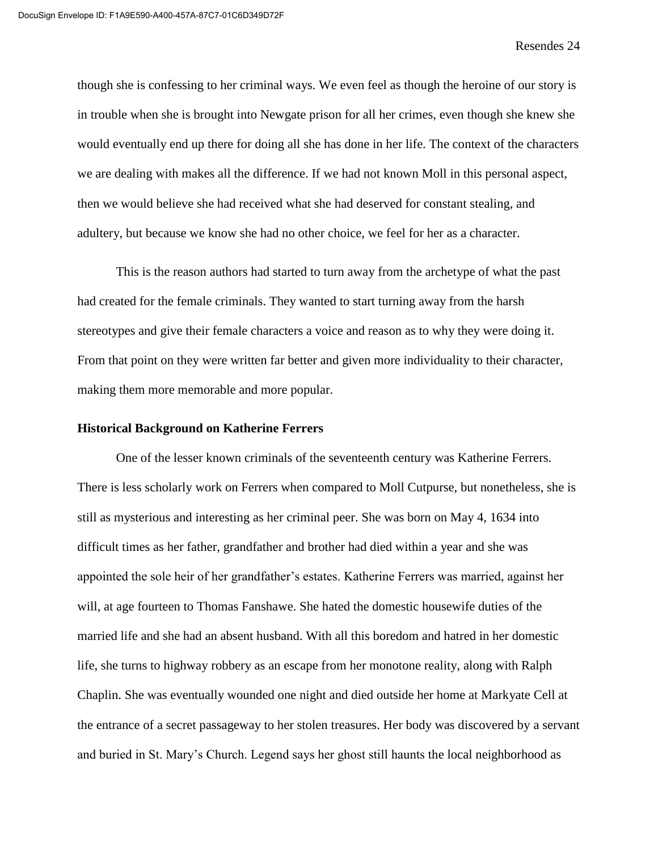though she is confessing to her criminal ways. We even feel as though the heroine of our story is in trouble when she is brought into Newgate prison for all her crimes, even though she knew she would eventually end up there for doing all she has done in her life. The context of the characters we are dealing with makes all the difference. If we had not known Moll in this personal aspect, then we would believe she had received what she had deserved for constant stealing, and adultery, but because we know she had no other choice, we feel for her as a character.

This is the reason authors had started to turn away from the archetype of what the past had created for the female criminals. They wanted to start turning away from the harsh stereotypes and give their female characters a voice and reason as to why they were doing it. From that point on they were written far better and given more individuality to their character, making them more memorable and more popular.

#### **Historical Background on Katherine Ferrers**

One of the lesser known criminals of the seventeenth century was Katherine Ferrers. There is less scholarly work on Ferrers when compared to Moll Cutpurse, but nonetheless, she is still as mysterious and interesting as her criminal peer. She was born on May 4, 1634 into difficult times as her father, grandfather and brother had died within a year and she was appointed the sole heir of her grandfather's estates. Katherine Ferrers was married, against her will, at age fourteen to Thomas Fanshawe. She hated the domestic housewife duties of the married life and she had an absent husband. With all this boredom and hatred in her domestic life, she turns to highway robbery as an escape from her monotone reality, along with Ralph Chaplin. She was eventually wounded one night and died outside her home at Markyate Cell at the entrance of a secret passageway to her stolen treasures. Her body was discovered by a servant and buried in St. Mary's Church. Legend says her ghost still haunts the local neighborhood as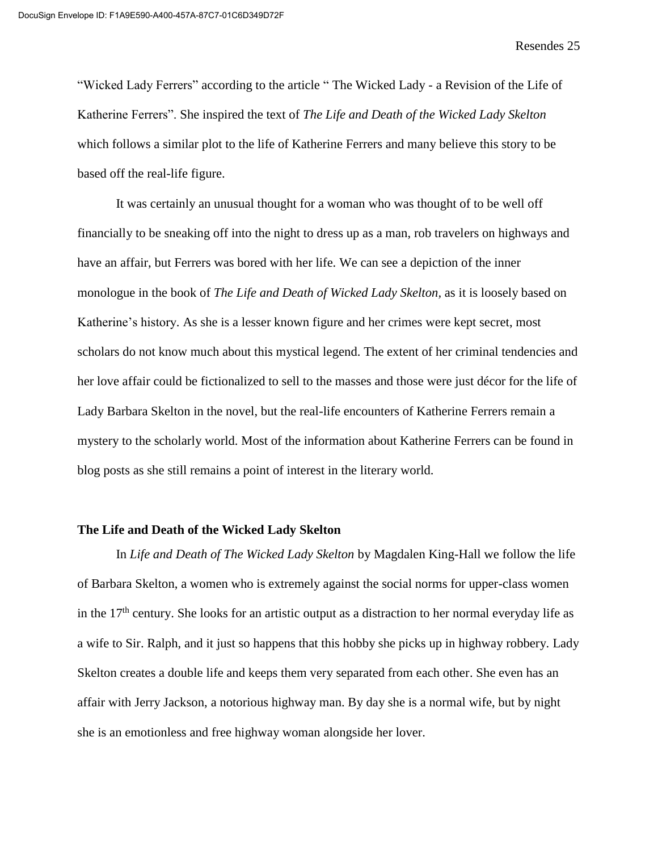"Wicked Lady Ferrers" according to the article " The Wicked Lady - a Revision of the Life of Katherine Ferrers". She inspired the text of *The Life and Death of the Wicked Lady Skelton* which follows a similar plot to the life of Katherine Ferrers and many believe this story to be based off the real-life figure.

It was certainly an unusual thought for a woman who was thought of to be well off financially to be sneaking off into the night to dress up as a man, rob travelers on highways and have an affair, but Ferrers was bored with her life. We can see a depiction of the inner monologue in the book of *The Life and Death of Wicked Lady Skelton,* as it is loosely based on Katherine's history. As she is a lesser known figure and her crimes were kept secret, most scholars do not know much about this mystical legend. The extent of her criminal tendencies and her love affair could be fictionalized to sell to the masses and those were just décor for the life of Lady Barbara Skelton in the novel, but the real-life encounters of Katherine Ferrers remain a mystery to the scholarly world. Most of the information about Katherine Ferrers can be found in blog posts as she still remains a point of interest in the literary world.

#### **The Life and Death of the Wicked Lady Skelton**

In *Life and Death of The Wicked Lady Skelton* by Magdalen King-Hall we follow the life of Barbara Skelton, a women who is extremely against the social norms for upper-class women in the  $17<sup>th</sup>$  century. She looks for an artistic output as a distraction to her normal everyday life as a wife to Sir. Ralph, and it just so happens that this hobby she picks up in highway robbery. Lady Skelton creates a double life and keeps them very separated from each other. She even has an affair with Jerry Jackson, a notorious highway man. By day she is a normal wife, but by night she is an emotionless and free highway woman alongside her lover.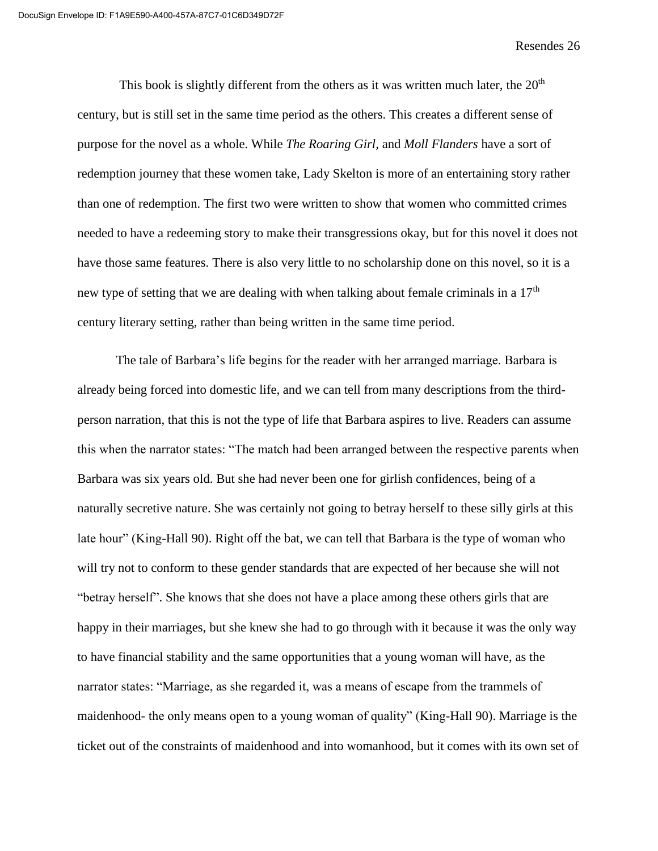This book is slightly different from the others as it was written much later, the  $20<sup>th</sup>$ century, but is still set in the same time period as the others. This creates a different sense of purpose for the novel as a whole. While *The Roaring Girl,* and *Moll Flanders* have a sort of redemption journey that these women take, Lady Skelton is more of an entertaining story rather than one of redemption. The first two were written to show that women who committed crimes needed to have a redeeming story to make their transgressions okay, but for this novel it does not have those same features. There is also very little to no scholarship done on this novel, so it is a new type of setting that we are dealing with when talking about female criminals in a  $17<sup>th</sup>$ century literary setting, rather than being written in the same time period.

The tale of Barbara's life begins for the reader with her arranged marriage. Barbara is already being forced into domestic life, and we can tell from many descriptions from the thirdperson narration, that this is not the type of life that Barbara aspires to live. Readers can assume this when the narrator states: "The match had been arranged between the respective parents when Barbara was six years old. But she had never been one for girlish confidences, being of a naturally secretive nature. She was certainly not going to betray herself to these silly girls at this late hour" (King-Hall 90). Right off the bat, we can tell that Barbara is the type of woman who will try not to conform to these gender standards that are expected of her because she will not "betray herself". She knows that she does not have a place among these others girls that are happy in their marriages, but she knew she had to go through with it because it was the only way to have financial stability and the same opportunities that a young woman will have, as the narrator states: "Marriage, as she regarded it, was a means of escape from the trammels of maidenhood- the only means open to a young woman of quality" (King-Hall 90). Marriage is the ticket out of the constraints of maidenhood and into womanhood, but it comes with its own set of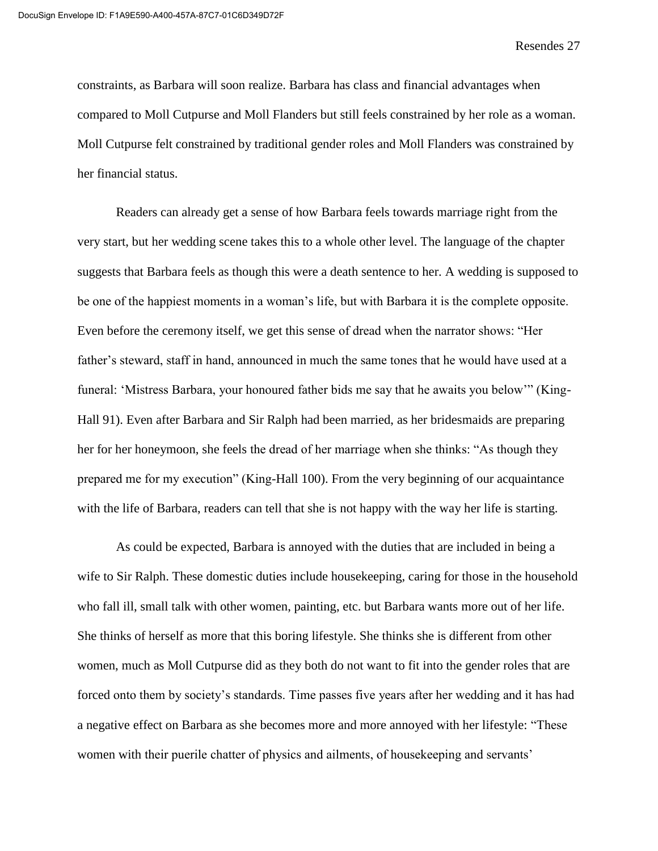constraints, as Barbara will soon realize. Barbara has class and financial advantages when compared to Moll Cutpurse and Moll Flanders but still feels constrained by her role as a woman. Moll Cutpurse felt constrained by traditional gender roles and Moll Flanders was constrained by her financial status.

Readers can already get a sense of how Barbara feels towards marriage right from the very start, but her wedding scene takes this to a whole other level. The language of the chapter suggests that Barbara feels as though this were a death sentence to her. A wedding is supposed to be one of the happiest moments in a woman's life, but with Barbara it is the complete opposite. Even before the ceremony itself, we get this sense of dread when the narrator shows: "Her father's steward, staff in hand, announced in much the same tones that he would have used at a funeral: 'Mistress Barbara, your honoured father bids me say that he awaits you below'" (King-Hall 91). Even after Barbara and Sir Ralph had been married, as her bridesmaids are preparing her for her honeymoon, she feels the dread of her marriage when she thinks: "As though they prepared me for my execution" (King-Hall 100). From the very beginning of our acquaintance with the life of Barbara, readers can tell that she is not happy with the way her life is starting.

As could be expected, Barbara is annoyed with the duties that are included in being a wife to Sir Ralph. These domestic duties include housekeeping, caring for those in the household who fall ill, small talk with other women, painting, etc. but Barbara wants more out of her life. She thinks of herself as more that this boring lifestyle. She thinks she is different from other women, much as Moll Cutpurse did as they both do not want to fit into the gender roles that are forced onto them by society's standards. Time passes five years after her wedding and it has had a negative effect on Barbara as she becomes more and more annoyed with her lifestyle: "These women with their puerile chatter of physics and ailments, of housekeeping and servants'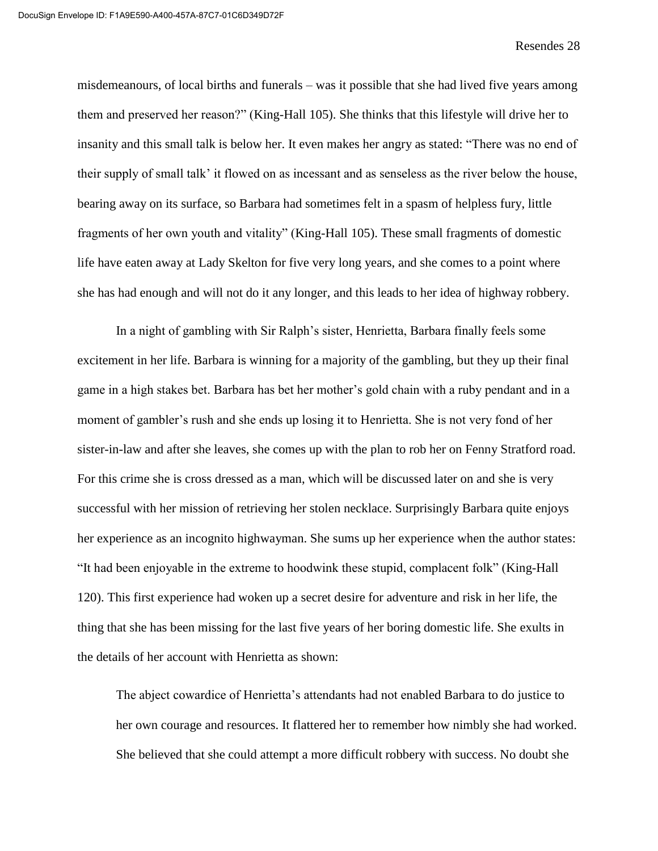misdemeanours, of local births and funerals – was it possible that she had lived five years among them and preserved her reason?" (King-Hall 105). She thinks that this lifestyle will drive her to insanity and this small talk is below her. It even makes her angry as stated: "There was no end of their supply of small talk' it flowed on as incessant and as senseless as the river below the house, bearing away on its surface, so Barbara had sometimes felt in a spasm of helpless fury, little fragments of her own youth and vitality" (King-Hall 105). These small fragments of domestic life have eaten away at Lady Skelton for five very long years, and she comes to a point where she has had enough and will not do it any longer, and this leads to her idea of highway robbery.

In a night of gambling with Sir Ralph's sister, Henrietta, Barbara finally feels some excitement in her life. Barbara is winning for a majority of the gambling, but they up their final game in a high stakes bet. Barbara has bet her mother's gold chain with a ruby pendant and in a moment of gambler's rush and she ends up losing it to Henrietta. She is not very fond of her sister-in-law and after she leaves, she comes up with the plan to rob her on Fenny Stratford road. For this crime she is cross dressed as a man, which will be discussed later on and she is very successful with her mission of retrieving her stolen necklace. Surprisingly Barbara quite enjoys her experience as an incognito highwayman. She sums up her experience when the author states: "It had been enjoyable in the extreme to hoodwink these stupid, complacent folk" (King-Hall 120). This first experience had woken up a secret desire for adventure and risk in her life, the thing that she has been missing for the last five years of her boring domestic life. She exults in the details of her account with Henrietta as shown:

The abject cowardice of Henrietta's attendants had not enabled Barbara to do justice to her own courage and resources. It flattered her to remember how nimbly she had worked. She believed that she could attempt a more difficult robbery with success. No doubt she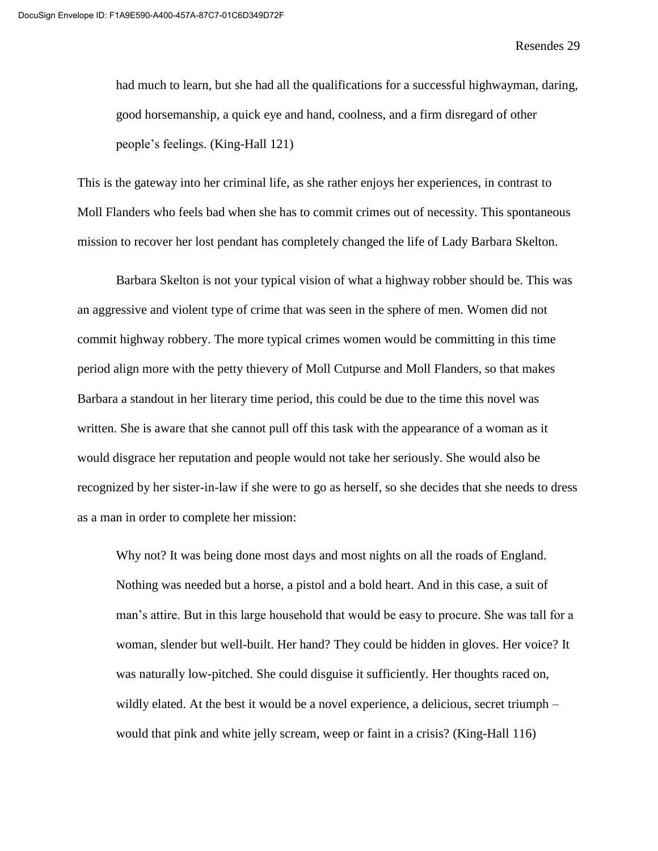had much to learn, but she had all the qualifications for a successful highwayman, daring, good horsemanship, a quick eye and hand, coolness, and a firm disregard of other people's feelings. (King-Hall 121)

This is the gateway into her criminal life, as she rather enjoys her experiences, in contrast to Moll Flanders who feels bad when she has to commit crimes out of necessity. This spontaneous mission to recover her lost pendant has completely changed the life of Lady Barbara Skelton.

Barbara Skelton is not your typical vision of what a highway robber should be. This was an aggressive and violent type of crime that was seen in the sphere of men. Women did not commit highway robbery. The more typical crimes women would be committing in this time period align more with the petty thievery of Moll Cutpurse and Moll Flanders, so that makes Barbara a standout in her literary time period, this could be due to the time this novel was written. She is aware that she cannot pull off this task with the appearance of a woman as it would disgrace her reputation and people would not take her seriously. She would also be recognized by her sister-in-law if she were to go as herself, so she decides that she needs to dress as a man in order to complete her mission:

Why not? It was being done most days and most nights on all the roads of England. Nothing was needed but a horse, a pistol and a bold heart. And in this case, a suit of man's attire. But in this large household that would be easy to procure. She was tall for a woman, slender but well-built. Her hand? They could be hidden in gloves. Her voice? It was naturally low-pitched. She could disguise it sufficiently. Her thoughts raced on, wildly elated. At the best it would be a novel experience, a delicious, secret triumph – would that pink and white jelly scream, weep or faint in a crisis? (King-Hall 116)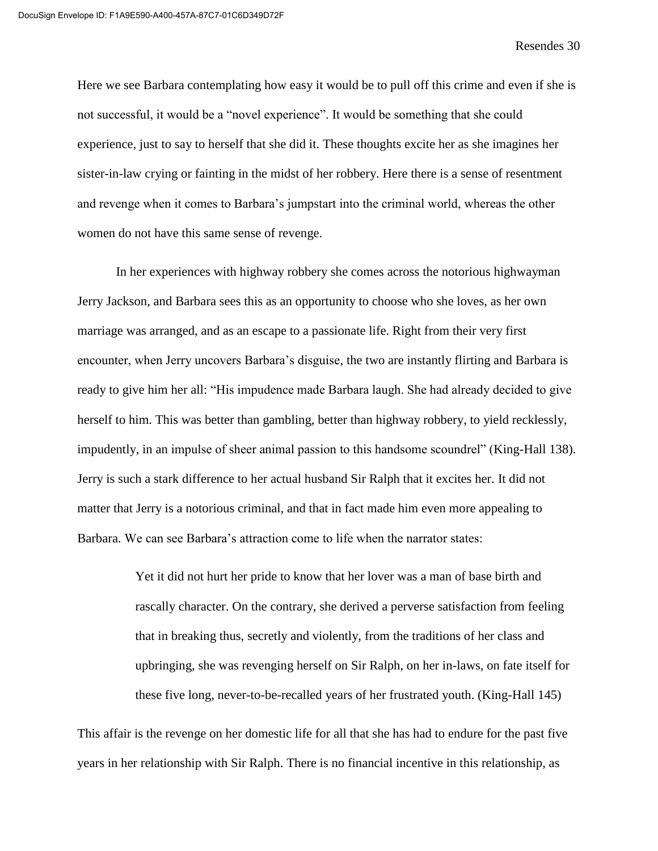Here we see Barbara contemplating how easy it would be to pull off this crime and even if she is not successful, it would be a "novel experience". It would be something that she could experience, just to say to herself that she did it. These thoughts excite her as she imagines her sister-in-law crying or fainting in the midst of her robbery. Here there is a sense of resentment and revenge when it comes to Barbara's jumpstart into the criminal world, whereas the other women do not have this same sense of revenge.

In her experiences with highway robbery she comes across the notorious highwayman Jerry Jackson, and Barbara sees this as an opportunity to choose who she loves, as her own marriage was arranged, and as an escape to a passionate life. Right from their very first encounter, when Jerry uncovers Barbara's disguise, the two are instantly flirting and Barbara is ready to give him her all: "His impudence made Barbara laugh. She had already decided to give herself to him. This was better than gambling, better than highway robbery, to yield recklessly, impudently, in an impulse of sheer animal passion to this handsome scoundrel" (King-Hall 138). Jerry is such a stark difference to her actual husband Sir Ralph that it excites her. It did not matter that Jerry is a notorious criminal, and that in fact made him even more appealing to Barbara. We can see Barbara's attraction come to life when the narrator states:

> Yet it did not hurt her pride to know that her lover was a man of base birth and rascally character. On the contrary, she derived a perverse satisfaction from feeling that in breaking thus, secretly and violently, from the traditions of her class and upbringing, she was revenging herself on Sir Ralph, on her in-laws, on fate itself for these five long, never-to-be-recalled years of her frustrated youth. (King-Hall 145)

This affair is the revenge on her domestic life for all that she has had to endure for the past five years in her relationship with Sir Ralph. There is no financial incentive in this relationship, as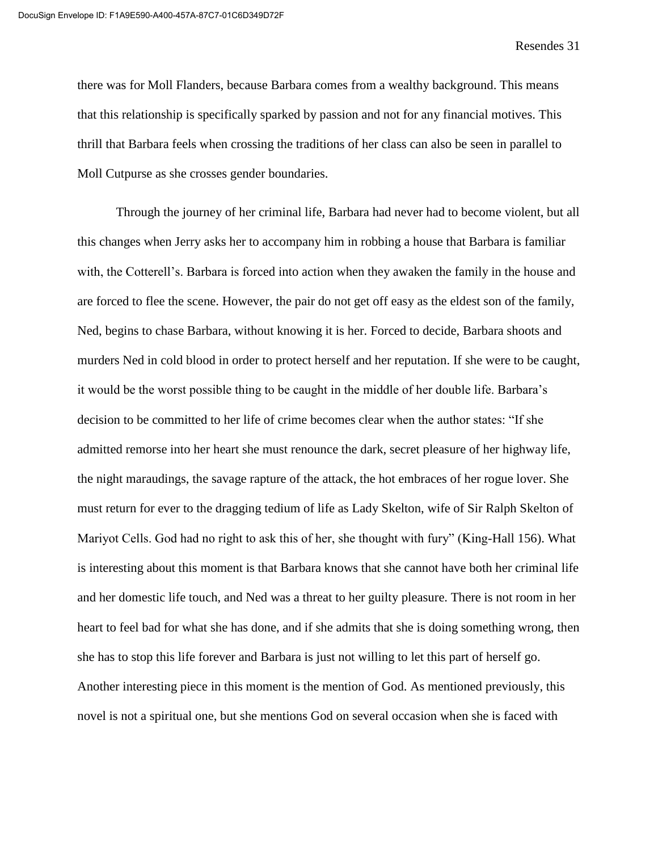there was for Moll Flanders, because Barbara comes from a wealthy background. This means that this relationship is specifically sparked by passion and not for any financial motives. This thrill that Barbara feels when crossing the traditions of her class can also be seen in parallel to Moll Cutpurse as she crosses gender boundaries.

Through the journey of her criminal life, Barbara had never had to become violent, but all this changes when Jerry asks her to accompany him in robbing a house that Barbara is familiar with, the Cotterell's. Barbara is forced into action when they awaken the family in the house and are forced to flee the scene. However, the pair do not get off easy as the eldest son of the family, Ned, begins to chase Barbara, without knowing it is her. Forced to decide, Barbara shoots and murders Ned in cold blood in order to protect herself and her reputation. If she were to be caught, it would be the worst possible thing to be caught in the middle of her double life. Barbara's decision to be committed to her life of crime becomes clear when the author states: "If she admitted remorse into her heart she must renounce the dark, secret pleasure of her highway life, the night maraudings, the savage rapture of the attack, the hot embraces of her rogue lover. She must return for ever to the dragging tedium of life as Lady Skelton, wife of Sir Ralph Skelton of Mariyot Cells. God had no right to ask this of her, she thought with fury" (King-Hall 156). What is interesting about this moment is that Barbara knows that she cannot have both her criminal life and her domestic life touch, and Ned was a threat to her guilty pleasure. There is not room in her heart to feel bad for what she has done, and if she admits that she is doing something wrong, then she has to stop this life forever and Barbara is just not willing to let this part of herself go. Another interesting piece in this moment is the mention of God. As mentioned previously, this novel is not a spiritual one, but she mentions God on several occasion when she is faced with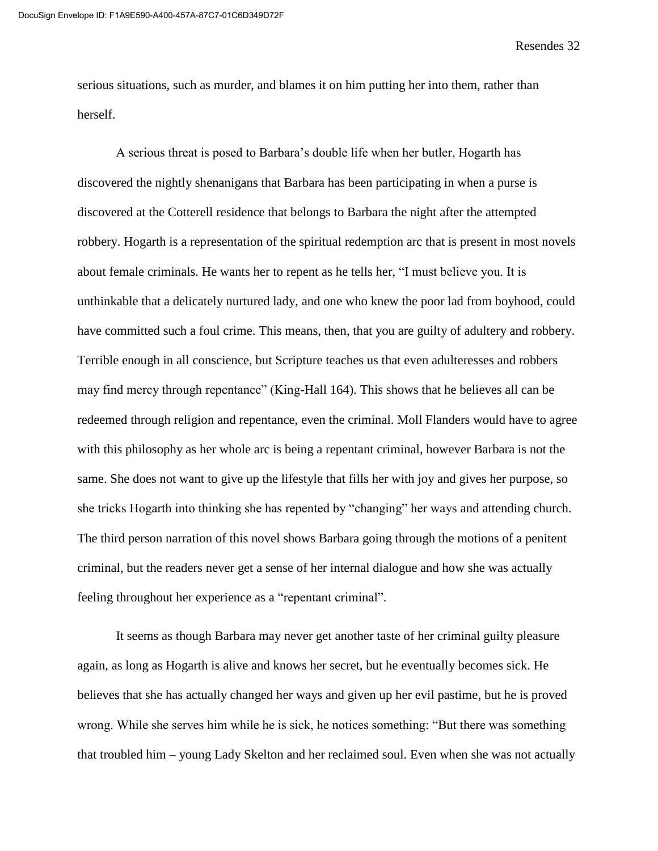serious situations, such as murder, and blames it on him putting her into them, rather than herself.

A serious threat is posed to Barbara's double life when her butler, Hogarth has discovered the nightly shenanigans that Barbara has been participating in when a purse is discovered at the Cotterell residence that belongs to Barbara the night after the attempted robbery. Hogarth is a representation of the spiritual redemption arc that is present in most novels about female criminals. He wants her to repent as he tells her, "I must believe you. It is unthinkable that a delicately nurtured lady, and one who knew the poor lad from boyhood, could have committed such a foul crime. This means, then, that you are guilty of adultery and robbery. Terrible enough in all conscience, but Scripture teaches us that even adulteresses and robbers may find mercy through repentance" (King-Hall 164). This shows that he believes all can be redeemed through religion and repentance, even the criminal. Moll Flanders would have to agree with this philosophy as her whole arc is being a repentant criminal, however Barbara is not the same. She does not want to give up the lifestyle that fills her with joy and gives her purpose, so she tricks Hogarth into thinking she has repented by "changing" her ways and attending church. The third person narration of this novel shows Barbara going through the motions of a penitent criminal, but the readers never get a sense of her internal dialogue and how she was actually feeling throughout her experience as a "repentant criminal".

It seems as though Barbara may never get another taste of her criminal guilty pleasure again, as long as Hogarth is alive and knows her secret, but he eventually becomes sick. He believes that she has actually changed her ways and given up her evil pastime, but he is proved wrong. While she serves him while he is sick, he notices something: "But there was something that troubled him – young Lady Skelton and her reclaimed soul. Even when she was not actually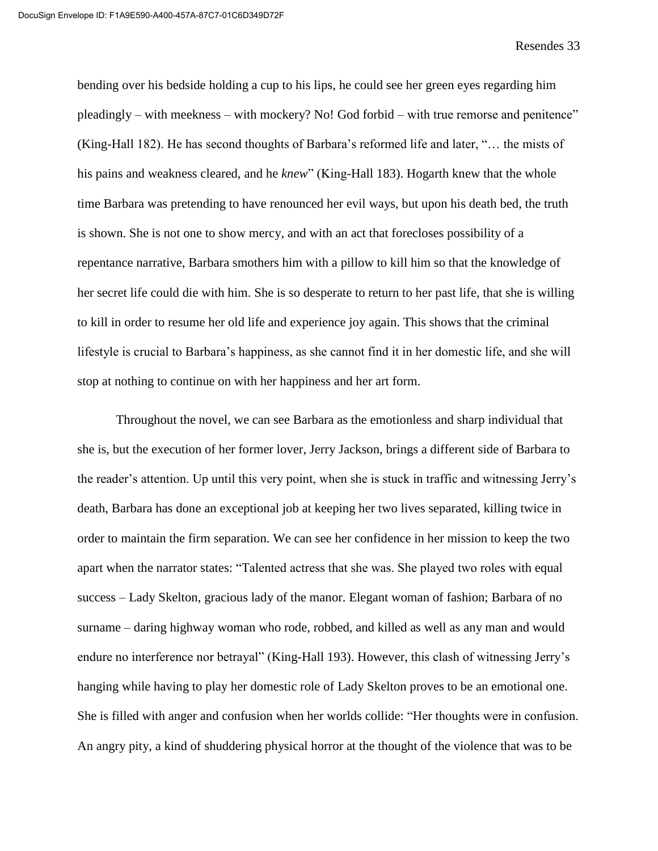bending over his bedside holding a cup to his lips, he could see her green eyes regarding him pleadingly – with meekness – with mockery? No! God forbid – with true remorse and penitence" (King-Hall 182). He has second thoughts of Barbara's reformed life and later, "… the mists of his pains and weakness cleared, and he *knew*" (King-Hall 183). Hogarth knew that the whole time Barbara was pretending to have renounced her evil ways, but upon his death bed, the truth is shown. She is not one to show mercy, and with an act that forecloses possibility of a repentance narrative, Barbara smothers him with a pillow to kill him so that the knowledge of her secret life could die with him. She is so desperate to return to her past life, that she is willing to kill in order to resume her old life and experience joy again. This shows that the criminal lifestyle is crucial to Barbara's happiness, as she cannot find it in her domestic life, and she will stop at nothing to continue on with her happiness and her art form.

Throughout the novel, we can see Barbara as the emotionless and sharp individual that she is, but the execution of her former lover, Jerry Jackson, brings a different side of Barbara to the reader's attention. Up until this very point, when she is stuck in traffic and witnessing Jerry's death, Barbara has done an exceptional job at keeping her two lives separated, killing twice in order to maintain the firm separation. We can see her confidence in her mission to keep the two apart when the narrator states: "Talented actress that she was. She played two roles with equal success – Lady Skelton, gracious lady of the manor. Elegant woman of fashion; Barbara of no surname – daring highway woman who rode, robbed, and killed as well as any man and would endure no interference nor betrayal" (King-Hall 193). However, this clash of witnessing Jerry's hanging while having to play her domestic role of Lady Skelton proves to be an emotional one. She is filled with anger and confusion when her worlds collide: "Her thoughts were in confusion. An angry pity, a kind of shuddering physical horror at the thought of the violence that was to be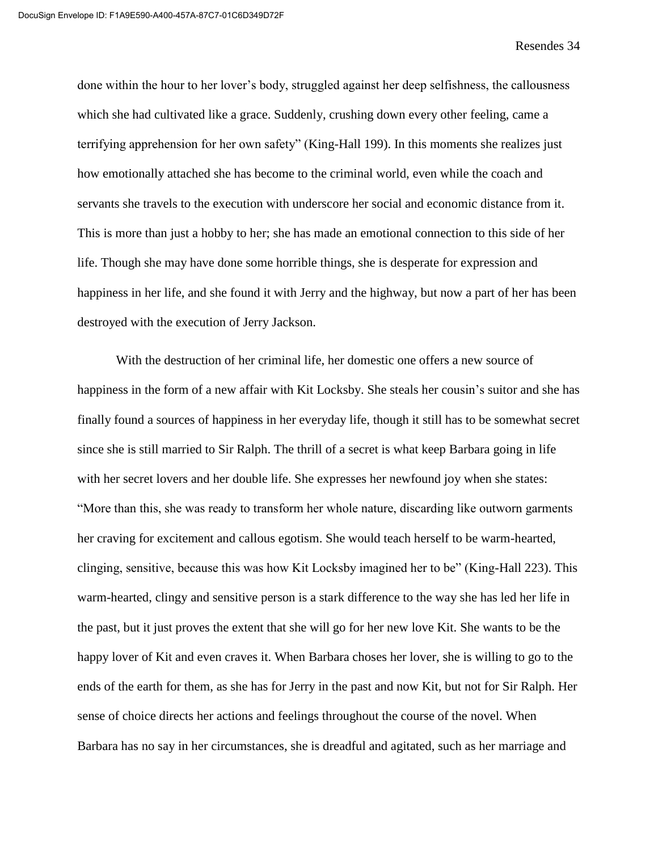done within the hour to her lover's body, struggled against her deep selfishness, the callousness which she had cultivated like a grace. Suddenly, crushing down every other feeling, came a terrifying apprehension for her own safety" (King-Hall 199). In this moments she realizes just how emotionally attached she has become to the criminal world, even while the coach and servants she travels to the execution with underscore her social and economic distance from it. This is more than just a hobby to her; she has made an emotional connection to this side of her life. Though she may have done some horrible things, she is desperate for expression and happiness in her life, and she found it with Jerry and the highway, but now a part of her has been destroyed with the execution of Jerry Jackson.

With the destruction of her criminal life, her domestic one offers a new source of happiness in the form of a new affair with Kit Locksby. She steals her cousin's suitor and she has finally found a sources of happiness in her everyday life, though it still has to be somewhat secret since she is still married to Sir Ralph. The thrill of a secret is what keep Barbara going in life with her secret lovers and her double life. She expresses her newfound joy when she states: "More than this, she was ready to transform her whole nature, discarding like outworn garments her craving for excitement and callous egotism. She would teach herself to be warm-hearted, clinging, sensitive, because this was how Kit Locksby imagined her to be" (King-Hall 223). This warm-hearted, clingy and sensitive person is a stark difference to the way she has led her life in the past, but it just proves the extent that she will go for her new love Kit. She wants to be the happy lover of Kit and even craves it. When Barbara choses her lover, she is willing to go to the ends of the earth for them, as she has for Jerry in the past and now Kit, but not for Sir Ralph. Her sense of choice directs her actions and feelings throughout the course of the novel. When Barbara has no say in her circumstances, she is dreadful and agitated, such as her marriage and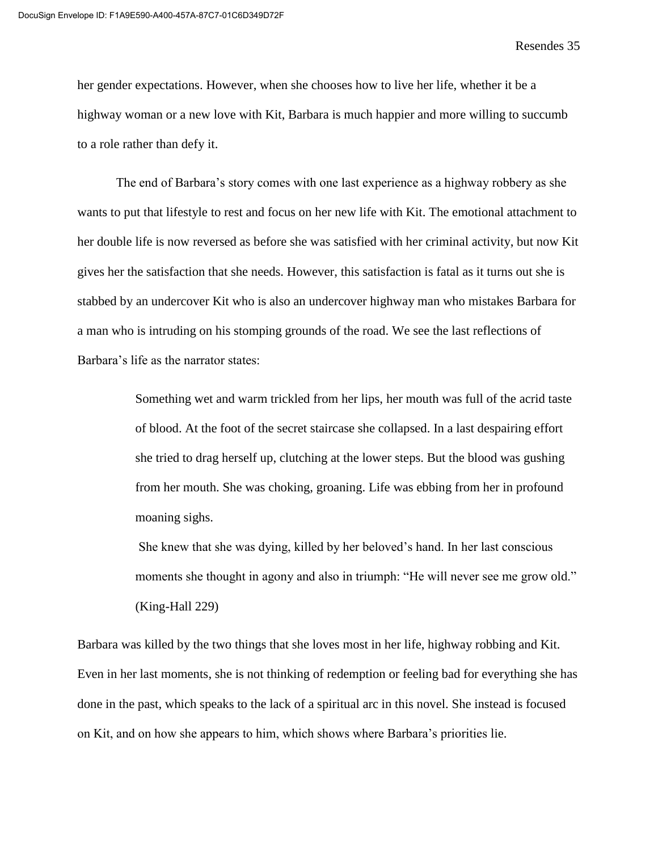her gender expectations. However, when she chooses how to live her life, whether it be a highway woman or a new love with Kit, Barbara is much happier and more willing to succumb to a role rather than defy it.

The end of Barbara's story comes with one last experience as a highway robbery as she wants to put that lifestyle to rest and focus on her new life with Kit. The emotional attachment to her double life is now reversed as before she was satisfied with her criminal activity, but now Kit gives her the satisfaction that she needs. However, this satisfaction is fatal as it turns out she is stabbed by an undercover Kit who is also an undercover highway man who mistakes Barbara for a man who is intruding on his stomping grounds of the road. We see the last reflections of Barbara's life as the narrator states:

> Something wet and warm trickled from her lips, her mouth was full of the acrid taste of blood. At the foot of the secret staircase she collapsed. In a last despairing effort she tried to drag herself up, clutching at the lower steps. But the blood was gushing from her mouth. She was choking, groaning. Life was ebbing from her in profound moaning sighs.

> She knew that she was dying, killed by her beloved's hand. In her last conscious moments she thought in agony and also in triumph: "He will never see me grow old." (King-Hall 229)

Barbara was killed by the two things that she loves most in her life, highway robbing and Kit. Even in her last moments, she is not thinking of redemption or feeling bad for everything she has done in the past, which speaks to the lack of a spiritual arc in this novel. She instead is focused on Kit, and on how she appears to him, which shows where Barbara's priorities lie.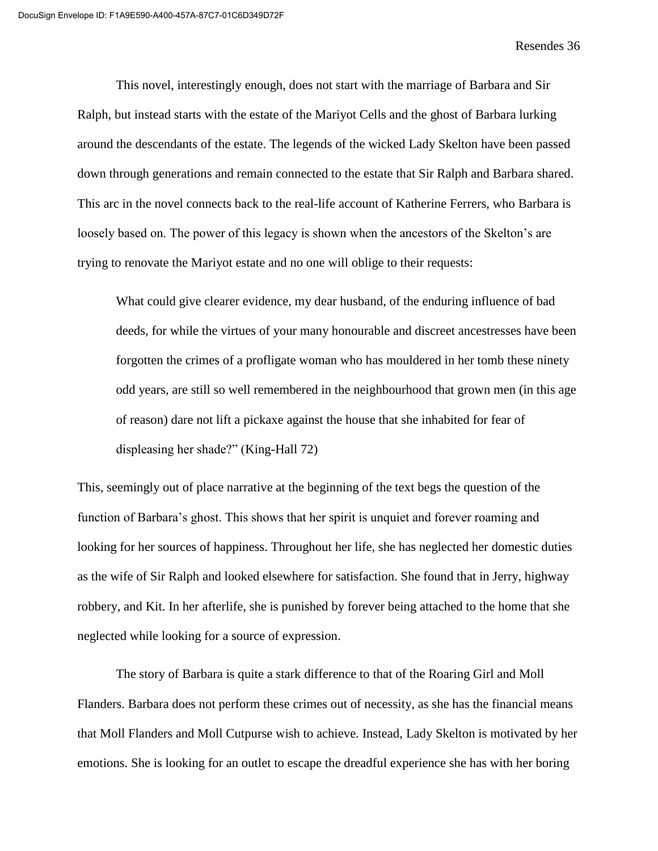This novel, interestingly enough, does not start with the marriage of Barbara and Sir Ralph, but instead starts with the estate of the Mariyot Cells and the ghost of Barbara lurking around the descendants of the estate. The legends of the wicked Lady Skelton have been passed down through generations and remain connected to the estate that Sir Ralph and Barbara shared. This arc in the novel connects back to the real-life account of Katherine Ferrers, who Barbara is loosely based on. The power of this legacy is shown when the ancestors of the Skelton's are trying to renovate the Mariyot estate and no one will oblige to their requests:

What could give clearer evidence, my dear husband, of the enduring influence of bad deeds, for while the virtues of your many honourable and discreet ancestresses have been forgotten the crimes of a profligate woman who has mouldered in her tomb these ninety odd years, are still so well remembered in the neighbourhood that grown men (in this age of reason) dare not lift a pickaxe against the house that she inhabited for fear of displeasing her shade?" (King-Hall 72)

This, seemingly out of place narrative at the beginning of the text begs the question of the function of Barbara's ghost. This shows that her spirit is unquiet and forever roaming and looking for her sources of happiness. Throughout her life, she has neglected her domestic duties as the wife of Sir Ralph and looked elsewhere for satisfaction. She found that in Jerry, highway robbery, and Kit. In her afterlife, she is punished by forever being attached to the home that she neglected while looking for a source of expression.

The story of Barbara is quite a stark difference to that of the Roaring Girl and Moll Flanders. Barbara does not perform these crimes out of necessity, as she has the financial means that Moll Flanders and Moll Cutpurse wish to achieve. Instead, Lady Skelton is motivated by her emotions. She is looking for an outlet to escape the dreadful experience she has with her boring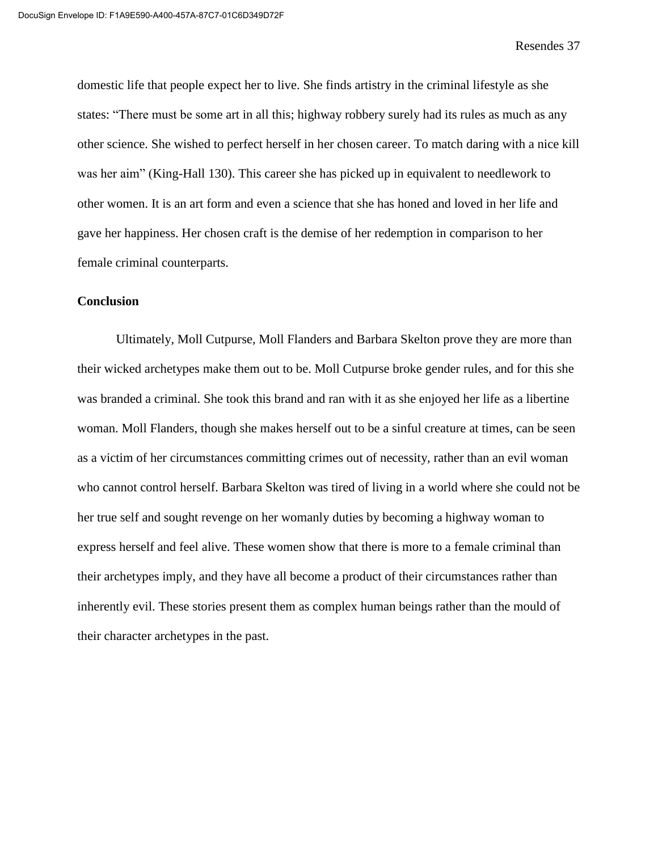domestic life that people expect her to live. She finds artistry in the criminal lifestyle as she states: "There must be some art in all this; highway robbery surely had its rules as much as any other science. She wished to perfect herself in her chosen career. To match daring with a nice kill was her aim" (King-Hall 130). This career she has picked up in equivalent to needlework to other women. It is an art form and even a science that she has honed and loved in her life and gave her happiness. Her chosen craft is the demise of her redemption in comparison to her female criminal counterparts.

# **Conclusion**

Ultimately, Moll Cutpurse, Moll Flanders and Barbara Skelton prove they are more than their wicked archetypes make them out to be. Moll Cutpurse broke gender rules, and for this she was branded a criminal. She took this brand and ran with it as she enjoyed her life as a libertine woman. Moll Flanders, though she makes herself out to be a sinful creature at times, can be seen as a victim of her circumstances committing crimes out of necessity, rather than an evil woman who cannot control herself. Barbara Skelton was tired of living in a world where she could not be her true self and sought revenge on her womanly duties by becoming a highway woman to express herself and feel alive. These women show that there is more to a female criminal than their archetypes imply, and they have all become a product of their circumstances rather than inherently evil. These stories present them as complex human beings rather than the mould of their character archetypes in the past.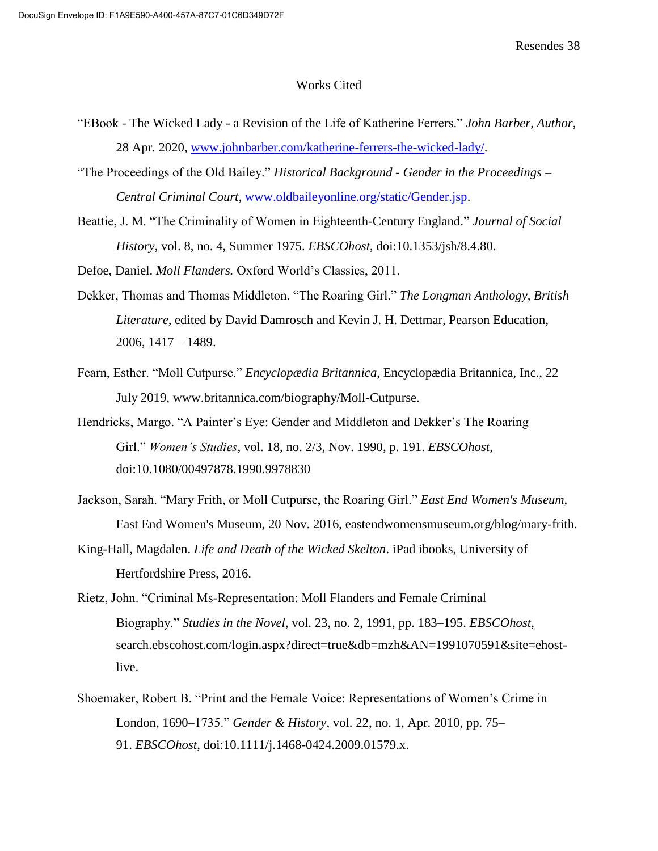#### Works Cited

- "EBook The Wicked Lady a Revision of the Life of Katherine Ferrers." *John Barber, Author*, 28 Apr. 2020, [www.johnbarber.com/katherine-ferrers-the-wicked-lady/.](http://www.johnbarber.com/katherine-ferrers-the-wicked-lady/)
- "The Proceedings of the Old Bailey." *Historical Background - Gender in the Proceedings – Central Criminal Court*, [www.oldbaileyonline.org/static/Gender.jsp.](http://www.oldbaileyonline.org/static/Gender.jsp)
- Beattie, J. M. "The Criminality of Women in Eighteenth-Century England." *Journal of Social History*, vol. 8, no. 4, Summer 1975. *EBSCOhost*, doi:10.1353/jsh/8.4.80.

Defoe, Daniel. *Moll Flanders.* Oxford World's Classics, 2011.

- Dekker, Thomas and Thomas Middleton. "The Roaring Girl." *The Longman Anthology, British Literature*, edited by David Damrosch and Kevin J. H. Dettmar, Pearson Education, 2006, 1417 – 1489.
- Fearn, Esther. "Moll Cutpurse." *Encyclopædia Britannica*, Encyclopædia Britannica, Inc., 22 July 2019, www.britannica.com/biography/Moll-Cutpurse.
- Hendricks, Margo. "A Painter's Eye: Gender and Middleton and Dekker's The Roaring Girl." *Women's Studies*, vol. 18, no. 2/3, Nov. 1990, p. 191. *EBSCOhost*, doi:10.1080/00497878.1990.9978830
- Jackson, Sarah. "Mary Frith, or Moll Cutpurse, the Roaring Girl." *East End Women's Museum*, East End Women's Museum, 20 Nov. 2016, eastendwomensmuseum.org/blog/mary-frith.
- King-Hall, Magdalen. *Life and Death of the Wicked Skelton*. iPad ibooks, University of Hertfordshire Press, 2016.
- Rietz, John. "Criminal Ms-Representation: Moll Flanders and Female Criminal Biography." *Studies in the Novel*, vol. 23, no. 2, 1991, pp. 183–195. *EBSCOhost*, search.ebscohost.com/login.aspx?direct=true&db=mzh&AN=1991070591&site=ehostlive.
- Shoemaker, Robert B. "Print and the Female Voice: Representations of Women's Crime in London, 1690–1735." *Gender & History*, vol. 22, no. 1, Apr. 2010, pp. 75– 91. *EBSCOhost*, doi:10.1111/j.1468-0424.2009.01579.x.